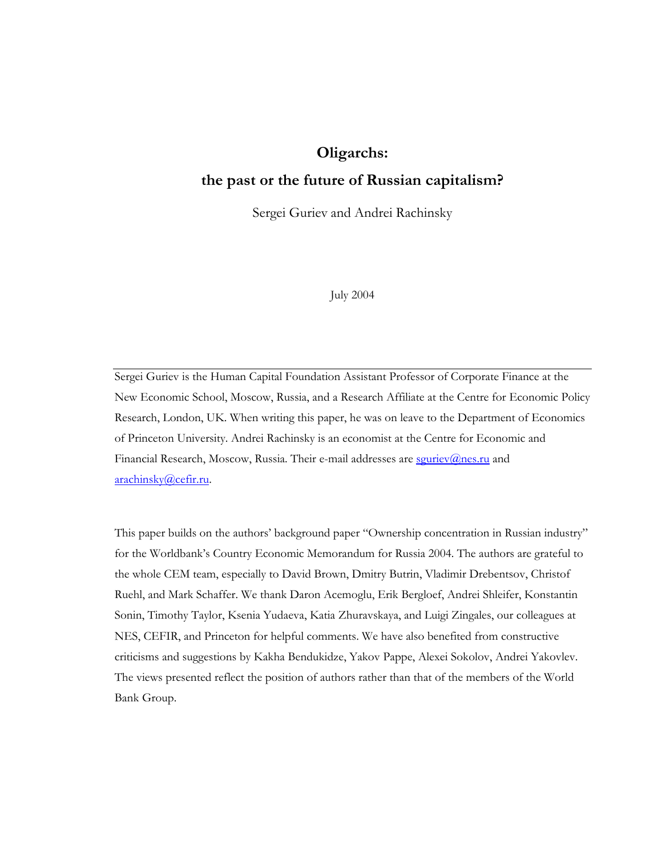# **Oligarchs:**

## **the past or the future of Russian capitalism?**

Sergei Guriev and Andrei Rachinsky

July 2004

Sergei Guriev is the Human Capital Foundation Assistant Professor of Corporate Finance at the New Economic School, Moscow, Russia, and a Research Affiliate at the Centre for Economic Policy Research, London, UK. When writing this paper, he was on leave to the Department of Economics of Princeton University. Andrei Rachinsky is an economist at the Centre for Economic and Financial Research, Moscow, Russia. Their e-mail addresses are souriev@nes.ru and arachinsky@cefir.ru.

This paper builds on the authors' background paper "Ownership concentration in Russian industry" for the Worldbank's Country Economic Memorandum for Russia 2004. The authors are grateful to the whole CEM team, especially to David Brown, Dmitry Butrin, Vladimir Drebentsov, Christof Ruehl, and Mark Schaffer. We thank Daron Acemoglu, Erik Bergloef, Andrei Shleifer, Konstantin Sonin, Timothy Taylor, Ksenia Yudaeva, Katia Zhuravskaya, and Luigi Zingales, our colleagues at NES, CEFIR, and Princeton for helpful comments. We have also benefited from constructive criticisms and suggestions by Kakha Bendukidze, Yakov Pappe, Alexei Sokolov, Andrei Yakovlev. The views presented reflect the position of authors rather than that of the members of the World Bank Group.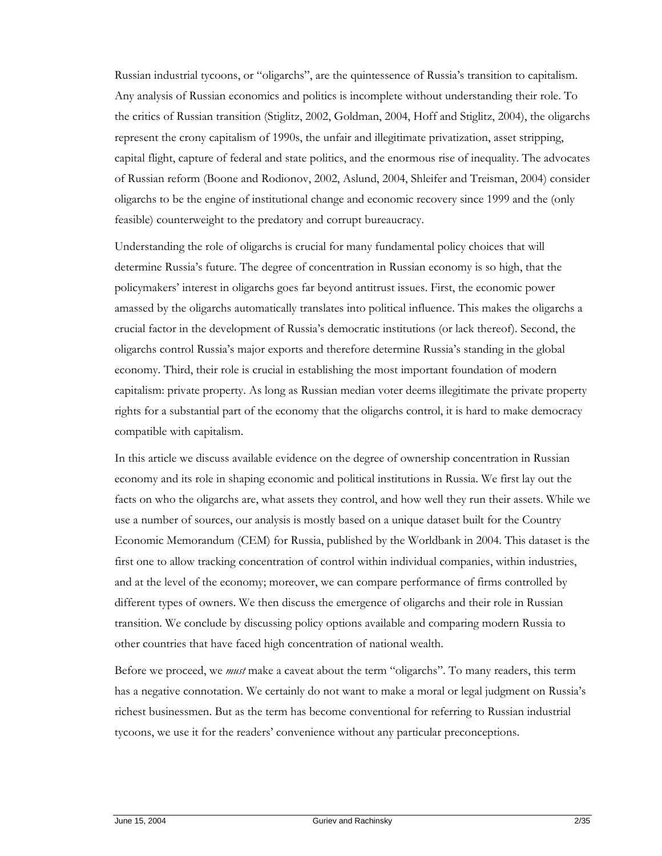Russian industrial tycoons, or "oligarchs", are the quintessence of Russia's transition to capitalism. Any analysis of Russian economics and politics is incomplete without understanding their role. To the critics of Russian transition (Stiglitz, 2002, Goldman, 2004, Hoff and Stiglitz, 2004), the oligarchs represent the crony capitalism of 1990s, the unfair and illegitimate privatization, asset stripping, capital flight, capture of federal and state politics, and the enormous rise of inequality. The advocates of Russian reform (Boone and Rodionov, 2002, Aslund, 2004, Shleifer and Treisman, 2004) consider oligarchs to be the engine of institutional change and economic recovery since 1999 and the (only feasible) counterweight to the predatory and corrupt bureaucracy.

Understanding the role of oligarchs is crucial for many fundamental policy choices that will determine Russia's future. The degree of concentration in Russian economy is so high, that the policymakers' interest in oligarchs goes far beyond antitrust issues. First, the economic power amassed by the oligarchs automatically translates into political influence. This makes the oligarchs a crucial factor in the development of Russia's democratic institutions (or lack thereof). Second, the oligarchs control Russia's major exports and therefore determine Russia's standing in the global economy. Third, their role is crucial in establishing the most important foundation of modern capitalism: private property. As long as Russian median voter deems illegitimate the private property rights for a substantial part of the economy that the oligarchs control, it is hard to make democracy compatible with capitalism.

In this article we discuss available evidence on the degree of ownership concentration in Russian economy and its role in shaping economic and political institutions in Russia. We first lay out the facts on who the oligarchs are, what assets they control, and how well they run their assets. While we use a number of sources, our analysis is mostly based on a unique dataset built for the Country Economic Memorandum (CEM) for Russia, published by the Worldbank in 2004. This dataset is the first one to allow tracking concentration of control within individual companies, within industries, and at the level of the economy; moreover, we can compare performance of firms controlled by different types of owners. We then discuss the emergence of oligarchs and their role in Russian transition. We conclude by discussing policy options available and comparing modern Russia to other countries that have faced high concentration of national wealth.

Before we proceed, we *must* make a caveat about the term "oligarchs". To many readers, this term has a negative connotation. We certainly do not want to make a moral or legal judgment on Russia's richest businessmen. But as the term has become conventional for referring to Russian industrial tycoons, we use it for the readers' convenience without any particular preconceptions.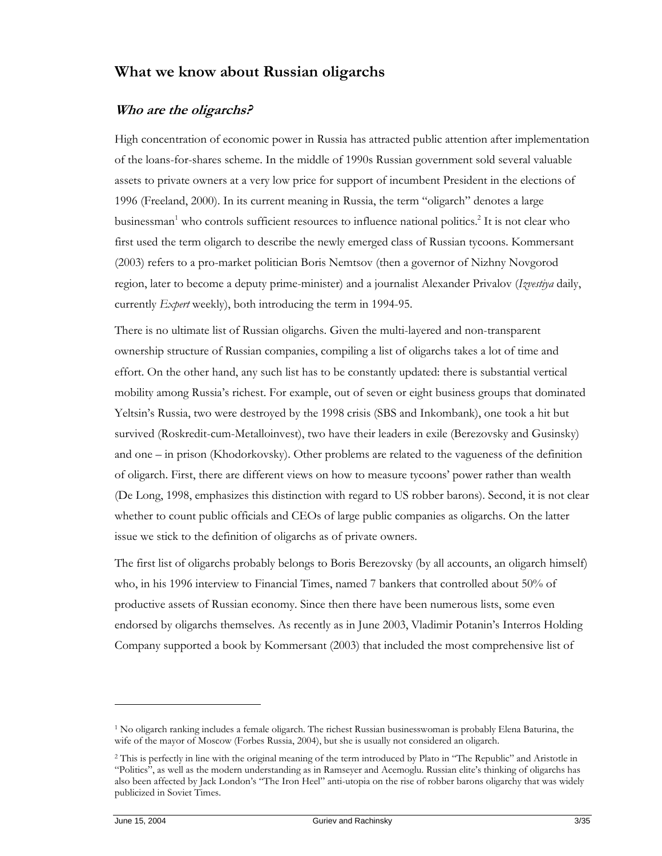# **What we know about Russian oligarchs**

## **Who are the oligarchs?**

High concentration of economic power in Russia has attracted public attention after implementation of the loans-for-shares scheme. In the middle of 1990s Russian government sold several valuable assets to private owners at a very low price for support of incumbent President in the elections of 1996 (Freeland, 2000). In its current meaning in Russia, the term "oligarch" denotes a large businessman<sup>1</sup> who controls sufficient resources to influence national politics.<sup>2</sup> It is not clear who first used the term oligarch to describe the newly emerged class of Russian tycoons. Kommersant (2003) refers to a pro-market politician Boris Nemtsov (then a governor of Nizhny Novgorod region, later to become a deputy prime-minister) and a journalist Alexander Privalov (*Izvestiya* daily, currently *Expert* weekly), both introducing the term in 1994-95.

There is no ultimate list of Russian oligarchs. Given the multi-layered and non-transparent ownership structure of Russian companies, compiling a list of oligarchs takes a lot of time and effort. On the other hand, any such list has to be constantly updated: there is substantial vertical mobility among Russia's richest. For example, out of seven or eight business groups that dominated Yeltsin's Russia, two were destroyed by the 1998 crisis (SBS and Inkombank), one took a hit but survived (Roskredit-cum-Metalloinvest), two have their leaders in exile (Berezovsky and Gusinsky) and one – in prison (Khodorkovsky). Other problems are related to the vagueness of the definition of oligarch. First, there are different views on how to measure tycoons' power rather than wealth (De Long, 1998, emphasizes this distinction with regard to US robber barons). Second, it is not clear whether to count public officials and CEOs of large public companies as oligarchs. On the latter issue we stick to the definition of oligarchs as of private owners.

The first list of oligarchs probably belongs to Boris Berezovsky (by all accounts, an oligarch himself) who, in his 1996 interview to Financial Times, named 7 bankers that controlled about 50% of productive assets of Russian economy. Since then there have been numerous lists, some even endorsed by oligarchs themselves. As recently as in June 2003, Vladimir Potanin's Interros Holding Company supported a book by Kommersant (2003) that included the most comprehensive list of

 $\ddot{\phantom{a}}$ 

<sup>1</sup> No oligarch ranking includes a female oligarch. The richest Russian businesswoman is probably Elena Baturina, the wife of the mayor of Moscow (Forbes Russia, 2004), but she is usually not considered an oligarch.

<sup>&</sup>lt;sup>2</sup> This is perfectly in line with the original meaning of the term introduced by Plato in "The Republic" and Aristotle in "Politics", as well as the modern understanding as in Ramseyer and Acemoglu. Russian elite's thinking of oligarchs has also been affected by Jack London's "The Iron Heel" anti-utopia on the rise of robber barons oligarchy that was widely publicized in Soviet Times.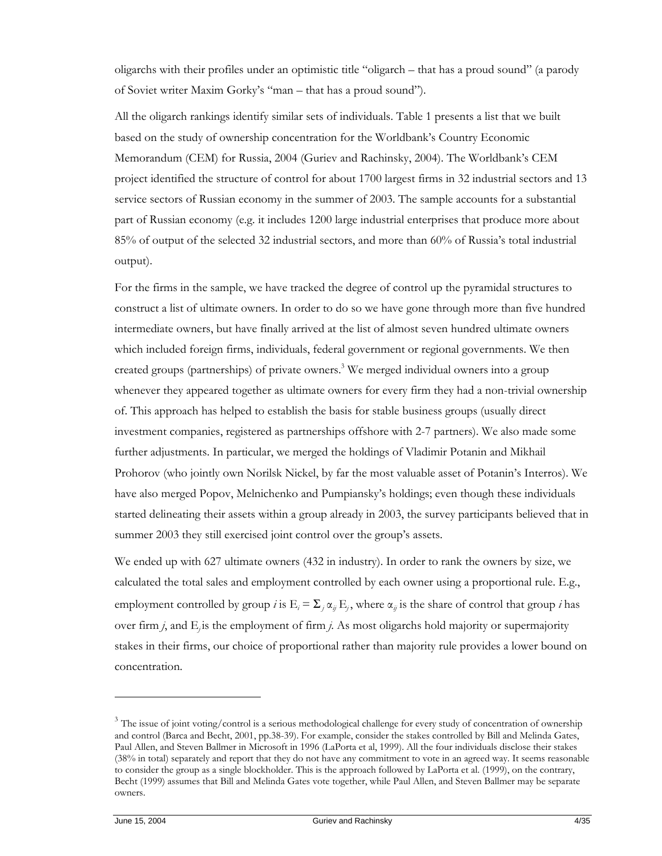oligarchs with their profiles under an optimistic title "oligarch – that has a proud sound" (a parody of Soviet writer Maxim Gorky's "man – that has a proud sound").

All the oligarch rankings identify similar sets of individuals. Table 1 presents a list that we built based on the study of ownership concentration for the Worldbank's Country Economic Memorandum (CEM) for Russia, 2004 (Guriev and Rachinsky, 2004). The Worldbank's CEM project identified the structure of control for about 1700 largest firms in 32 industrial sectors and 13 service sectors of Russian economy in the summer of 2003. The sample accounts for a substantial part of Russian economy (e.g. it includes 1200 large industrial enterprises that produce more about 85% of output of the selected 32 industrial sectors, and more than 60% of Russia's total industrial output).

For the firms in the sample, we have tracked the degree of control up the pyramidal structures to construct a list of ultimate owners. In order to do so we have gone through more than five hundred intermediate owners, but have finally arrived at the list of almost seven hundred ultimate owners which included foreign firms, individuals, federal government or regional governments. We then created groups (partnerships) of private owners.<sup>3</sup> We merged individual owners into a group whenever they appeared together as ultimate owners for every firm they had a non-trivial ownership of. This approach has helped to establish the basis for stable business groups (usually direct investment companies, registered as partnerships offshore with 2-7 partners). We also made some further adjustments. In particular, we merged the holdings of Vladimir Potanin and Mikhail Prohorov (who jointly own Norilsk Nickel, by far the most valuable asset of Potanin's Interros). We have also merged Popov, Melnichenko and Pumpiansky's holdings; even though these individuals started delineating their assets within a group already in 2003, the survey participants believed that in summer 2003 they still exercised joint control over the group's assets.

We ended up with 627 ultimate owners (432 in industry). In order to rank the owners by size, we calculated the total sales and employment controlled by each owner using a proportional rule. E.g., employment controlled by group *i* is  $E_i = \sum_j \alpha_{ij} E_j$ , where  $\alpha_{ij}$  is the share of control that group *i* has over firm *j*, and E<sub>j</sub> is the employment of firm *j*. As most oligarchs hold majority or supermajority stakes in their firms, our choice of proportional rather than majority rule provides a lower bound on concentration.

<sup>&</sup>lt;sup>3</sup> The issue of joint voting/control is a serious methodological challenge for every study of concentration of ownership and control (Barca and Becht, 2001, pp.38-39). For example, consider the stakes controlled by Bill and Melinda Gates, Paul Allen, and Steven Ballmer in Microsoft in 1996 (LaPorta et al, 1999). All the four individuals disclose their stakes (38% in total) separately and report that they do not have any commitment to vote in an agreed way. It seems reasonable to consider the group as a single blockholder. This is the approach followed by LaPorta et al. (1999), on the contrary, Becht (1999) assumes that Bill and Melinda Gates vote together, while Paul Allen, and Steven Ballmer may be separate owners.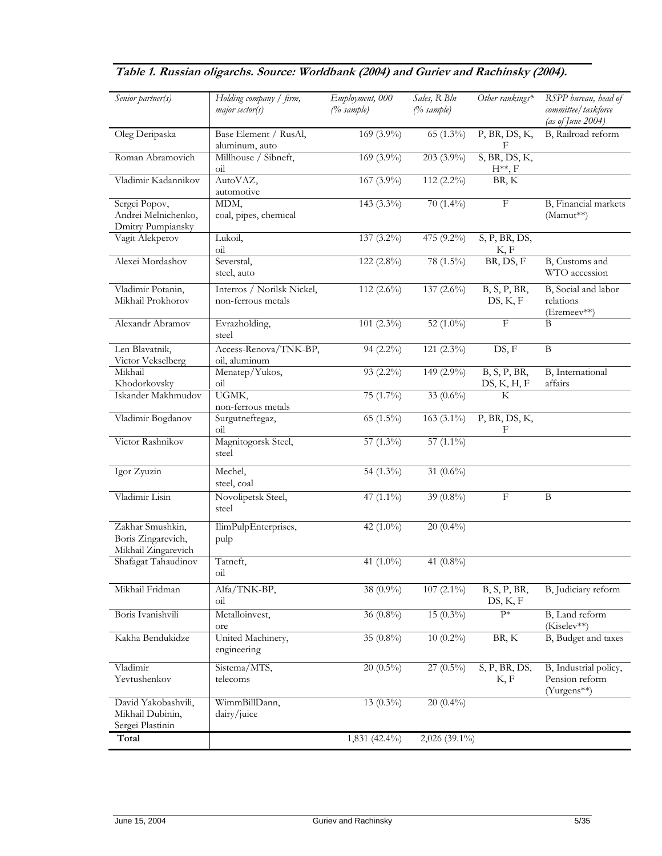| Senior partner(s)                                             | Holding company / firm,<br>major sector(s)       | Employment, 000<br>(% sample) | Sales, R Bln<br>(% sample) | Other rankings*                 | RSPP bureau, head of<br>committee/taskforce<br>(as of June 2004) |
|---------------------------------------------------------------|--------------------------------------------------|-------------------------------|----------------------------|---------------------------------|------------------------------------------------------------------|
| Oleg Deripaska                                                | Base Element / RusAl,<br>aluminum, auto          | 169 (3.9%)                    | 65 (1.3%)                  | P, BR, DS, K,<br>F              | B, Railroad reform                                               |
| Roman Abramovich                                              | Millhouse / Sibneft,<br>$\overline{\text{oil}}$  | $169(3.9\%)$                  | $203(3.9\%)$               | $S$ , BR, DS, K,<br>$H^{**}, F$ |                                                                  |
| Vladimir Kadannikov                                           | AutoVAZ,<br>automotive                           | $167(3.9\%)$                  | $112(2.2\%)$               | BR, K                           |                                                                  |
| Sergei Popov,<br>Andrei Melnichenko,<br>Dmitry Pumpiansky     | MDM,<br>coal, pipes, chemical                    | $143(3.3\%)$                  | $70(1.4\%)$                | $\overline{\mathrm{F}}$         | B, Financial markets<br>(Mamut**)                                |
| Vagit Alekperov                                               | Lukoil,<br>$\overline{\text{oil}}$               | 137 (3.2%)                    | 475 (9.2%)                 | S, P, BR, DS,<br>K, F           |                                                                  |
| Alexei Mordashov                                              | Severstal,<br>steel, auto                        | 122 $(2.8\%)$                 | 78 (1.5%)                  | BR, DS, F                       | B, Customs and<br>WTO accession                                  |
| Vladimir Potanin,<br>Mikhail Prokhorov                        | Interros / Norilsk Nickel,<br>non-ferrous metals | 112 $(2.6\%)$                 | $137(2.6\%)$               | B, S, P, BR<br>DS, K, F         | B, Social and labor<br>relations<br>(Eremeev**)                  |
| Alexandr Abramov                                              | Evrazholding,<br>steel                           | $101(2.3\%)$                  | 52 $(1.0\%)$               | $\overline{F}$                  | $\overline{B}$                                                   |
| Len Blavatnik,<br>Victor Vekselberg                           | Access-Renova/TNK-BP,<br>oil, aluminum           | 94 $(2.2\%)$                  | $121(2.3\%)$               | DS, F                           | $\, {\bf B}$                                                     |
| Mikhail<br>Khodorkovsky                                       | Menatep/Yukos,<br>oil                            | 93 (2.2%)                     | $149(2.9\%)$               | B, S, P, BR,<br>DS, K, H, F     | B, International<br>affairs                                      |
| Iskander Makhmudov                                            | UGMK,<br>non-ferrous metals                      | 75 (1.7%)                     | 33 $(0.6\%)$               | $\overline{\mathbf{K}}$         |                                                                  |
| Vladimir Bogdanov                                             | Surgutneftegaz,<br>$_{\text{oil}}$               | $65(1.5\%)$                   | $163(3.1\%)$               | P, BR, DS, K,<br>F              |                                                                  |
| Victor Rashnikov                                              | Magnitogorsk Steel,<br>steel                     | 57 $(1.3\%)$                  | 57 $(1.1\%)$               |                                 |                                                                  |
| Igor Zyuzin                                                   | Mechel,<br>steel, coal                           | 54 $(1.3\%)$                  | 31 $(0.6\%)$               |                                 |                                                                  |
| Vladimir Lisin                                                | Novolipetsk Steel,<br>steel                      | 47 $(1.1\%)$                  | 39 (0.8%)                  | $\boldsymbol{\mathrm{F}}$       | $\, {\bf B}$                                                     |
| Zakhar Smushkin,<br>Boris Zingarevich,<br>Mikhail Zingarevich | IlimPulpEnterprises,<br>pulp                     | 42 $(1.0\%)$                  | $20(0.4\%)$                |                                 |                                                                  |
| Shafagat Tahaudinov                                           | Tatneft,<br>O1                                   | 41 $(1.0\%)$                  | 41 (0.8%)                  |                                 |                                                                  |
| Mikhail Fridman                                               | Alfa/TNK-BP,<br>$\overline{\text{oil}}$          | 38 (0.9%)                     | $107(2.1\%)$               | B, S, P, BR,<br>DS, K, F        | B, Judiciary reform                                              |
| Boris Ivanishvili                                             | Metalloinvest,<br>ore                            | $36(0.8\%)$                   | $15(0.3\%)$                | $P*$                            | B, Land reform<br>(Kiselev**)                                    |
| Kakha Bendukidze                                              | United Machinery,<br>engineering                 | 35 $(0.8\%)$                  | $10(0.2\%)$                | BR, K                           | B, Budget and taxes                                              |
| Vladimir<br>Yevtushenkov                                      | Sistema/MTS,<br>telecoms                         | $20(0.5\%)$                   | $27(0.5\%)$                | S, P, BR, DS,<br>K, F           | B, Industrial policy,<br>Pension reform<br>(Yurgens**)           |
| David Yakobashvili,<br>Mikhail Dubinin,<br>Sergei Plastinin   | WimmBillDann,<br>dairy/juice                     | 13 $(0.3\%)$                  | $20(0.4\%)$                |                                 |                                                                  |
| Total                                                         |                                                  | $1,831(42.4\%)$               | 2,026 (39.1%)              |                                 |                                                                  |

# **Table 1. Russian oligarchs. Source: Worldbank (2004) and Guriev and Rachinsky (2004).**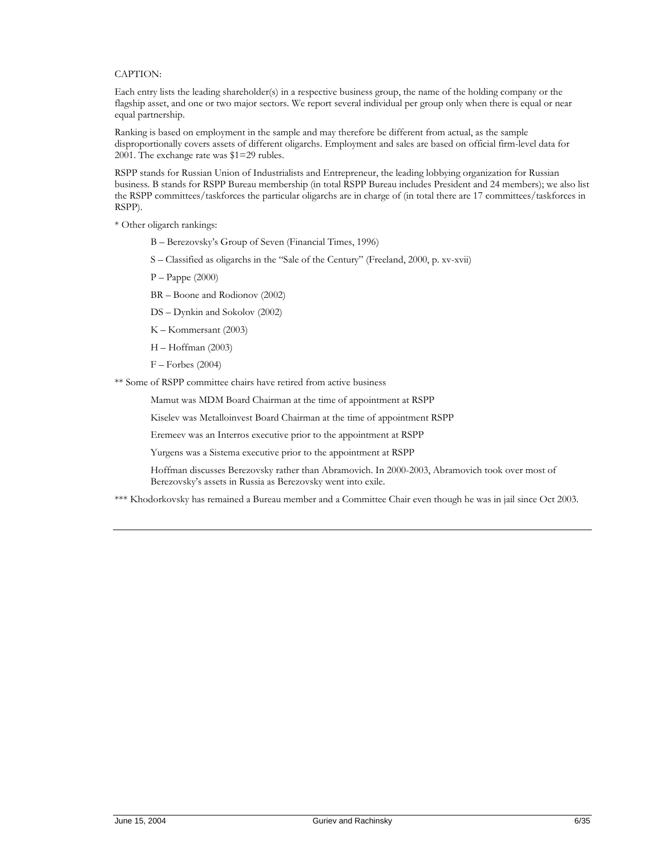#### CAPTION:

Each entry lists the leading shareholder(s) in a respective business group, the name of the holding company or the flagship asset, and one or two major sectors. We report several individual per group only when there is equal or near equal partnership.

Ranking is based on employment in the sample and may therefore be different from actual, as the sample disproportionally covers assets of different oligarchs. Employment and sales are based on official firm-level data for 2001. The exchange rate was \$1=29 rubles.

RSPP stands for Russian Union of Industrialists and Entrepreneur, the leading lobbying organization for Russian business. B stands for RSPP Bureau membership (in total RSPP Bureau includes President and 24 members); we also list the RSPP committees/taskforces the particular oligarchs are in charge of (in total there are 17 committees/taskforces in RSPP).

\* Other oligarch rankings:

- B Berezovsky's Group of Seven (Financial Times, 1996)
- S Classified as oligarchs in the "Sale of the Century" (Freeland, 2000, p. xv-xvii)
- P Pappe (2000)
- BR Boone and Rodionov (2002)
- DS Dynkin and Sokolov (2002)
- K Kommersant (2003)
- H Hoffman (2003)
- F Forbes (2004)

\*\* Some of RSPP committee chairs have retired from active business

Mamut was MDM Board Chairman at the time of appointment at RSPP

Kiselev was Metalloinvest Board Chairman at the time of appointment RSPP

Eremeev was an Interros executive prior to the appointment at RSPP

Yurgens was a Sistema executive prior to the appointment at RSPP

Hoffman discusses Berezovsky rather than Abramovich. In 2000-2003, Abramovich took over most of Berezovsky's assets in Russia as Berezovsky went into exile.

\*\*\* Khodorkovsky has remained a Bureau member and a Committee Chair even though he was in jail since Oct 2003.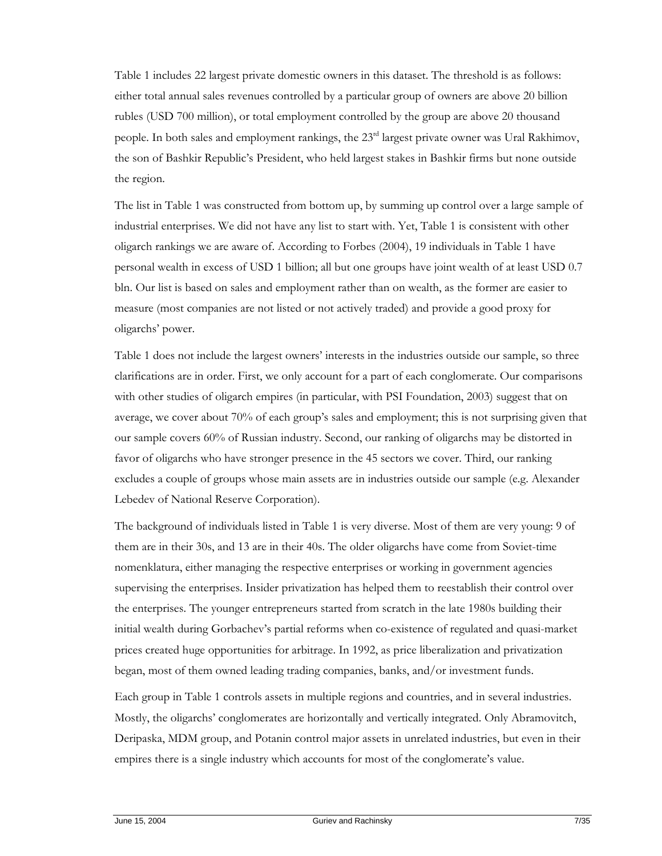Table 1 includes 22 largest private domestic owners in this dataset. The threshold is as follows: either total annual sales revenues controlled by a particular group of owners are above 20 billion rubles (USD 700 million), or total employment controlled by the group are above 20 thousand people. In both sales and employment rankings, the 23<sup>rd</sup> largest private owner was Ural Rakhimov, the son of Bashkir Republic's President, who held largest stakes in Bashkir firms but none outside the region.

The list in Table 1 was constructed from bottom up, by summing up control over a large sample of industrial enterprises. We did not have any list to start with. Yet, Table 1 is consistent with other oligarch rankings we are aware of. According to Forbes (2004), 19 individuals in Table 1 have personal wealth in excess of USD 1 billion; all but one groups have joint wealth of at least USD 0.7 bln. Our list is based on sales and employment rather than on wealth, as the former are easier to measure (most companies are not listed or not actively traded) and provide a good proxy for oligarchs' power.

Table 1 does not include the largest owners' interests in the industries outside our sample, so three clarifications are in order. First, we only account for a part of each conglomerate. Our comparisons with other studies of oligarch empires (in particular, with PSI Foundation, 2003) suggest that on average, we cover about 70% of each group's sales and employment; this is not surprising given that our sample covers 60% of Russian industry. Second, our ranking of oligarchs may be distorted in favor of oligarchs who have stronger presence in the 45 sectors we cover. Third, our ranking excludes a couple of groups whose main assets are in industries outside our sample (e.g. Alexander Lebedev of National Reserve Corporation).

The background of individuals listed in Table 1 is very diverse. Most of them are very young: 9 of them are in their 30s, and 13 are in their 40s. The older oligarchs have come from Soviet-time nomenklatura, either managing the respective enterprises or working in government agencies supervising the enterprises. Insider privatization has helped them to reestablish their control over the enterprises. The younger entrepreneurs started from scratch in the late 1980s building their initial wealth during Gorbachev's partial reforms when co-existence of regulated and quasi-market prices created huge opportunities for arbitrage. In 1992, as price liberalization and privatization began, most of them owned leading trading companies, banks, and/or investment funds.

Each group in Table 1 controls assets in multiple regions and countries, and in several industries. Mostly, the oligarchs' conglomerates are horizontally and vertically integrated. Only Abramovitch, Deripaska, MDM group, and Potanin control major assets in unrelated industries, but even in their empires there is a single industry which accounts for most of the conglomerate's value.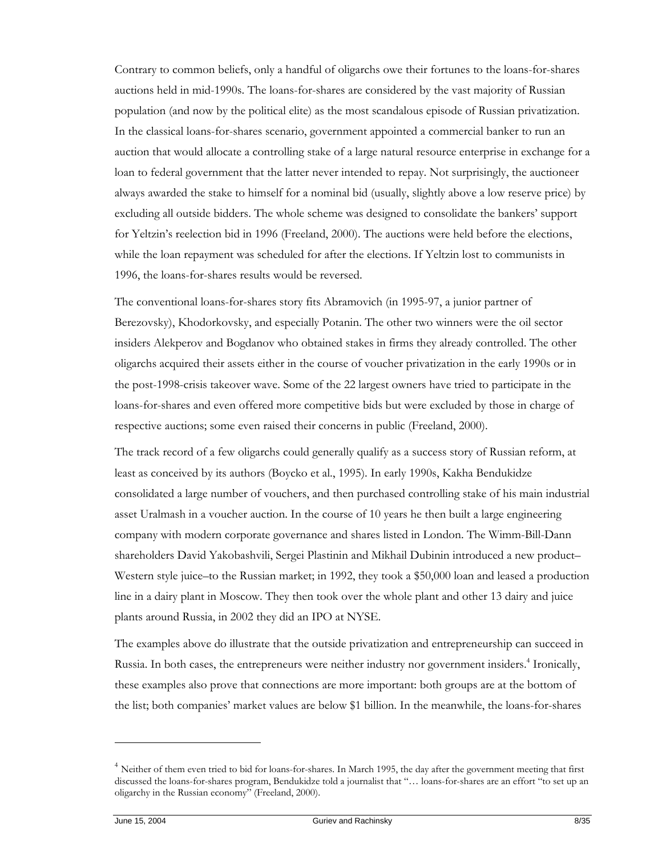Contrary to common beliefs, only a handful of oligarchs owe their fortunes to the loans-for-shares auctions held in mid-1990s. The loans-for-shares are considered by the vast majority of Russian population (and now by the political elite) as the most scandalous episode of Russian privatization. In the classical loans-for-shares scenario, government appointed a commercial banker to run an auction that would allocate a controlling stake of a large natural resource enterprise in exchange for a loan to federal government that the latter never intended to repay. Not surprisingly, the auctioneer always awarded the stake to himself for a nominal bid (usually, slightly above a low reserve price) by excluding all outside bidders. The whole scheme was designed to consolidate the bankers' support for Yeltzin's reelection bid in 1996 (Freeland, 2000). The auctions were held before the elections, while the loan repayment was scheduled for after the elections. If Yeltzin lost to communists in 1996, the loans-for-shares results would be reversed.

The conventional loans-for-shares story fits Abramovich (in 1995-97, a junior partner of Berezovsky), Khodorkovsky, and especially Potanin. The other two winners were the oil sector insiders Alekperov and Bogdanov who obtained stakes in firms they already controlled. The other oligarchs acquired their assets either in the course of voucher privatization in the early 1990s or in the post-1998-crisis takeover wave. Some of the 22 largest owners have tried to participate in the loans-for-shares and even offered more competitive bids but were excluded by those in charge of respective auctions; some even raised their concerns in public (Freeland, 2000).

The track record of a few oligarchs could generally qualify as a success story of Russian reform, at least as conceived by its authors (Boycko et al., 1995). In early 1990s, Kakha Bendukidze consolidated a large number of vouchers, and then purchased controlling stake of his main industrial asset Uralmash in a voucher auction. In the course of 10 years he then built a large engineering company with modern corporate governance and shares listed in London. The Wimm-Bill-Dann shareholders David Yakobashvili, Sergei Plastinin and Mikhail Dubinin introduced a new product– Western style juice–to the Russian market; in 1992, they took a \$50,000 loan and leased a production line in a dairy plant in Moscow. They then took over the whole plant and other 13 dairy and juice plants around Russia, in 2002 they did an IPO at NYSE.

The examples above do illustrate that the outside privatization and entrepreneurship can succeed in Russia. In both cases, the entrepreneurs were neither industry nor government insiders.<sup>4</sup> Ironically, these examples also prove that connections are more important: both groups are at the bottom of the list; both companies' market values are below \$1 billion. In the meanwhile, the loans-for-shares

 $\ddot{\phantom{a}}$ 

<sup>&</sup>lt;sup>4</sup> Neither of them even tried to bid for loans-for-shares. In March 1995, the day after the government meeting that first discussed the loans-for-shares program, Bendukidze told a journalist that "… loans-for-shares are an effort "to set up an oligarchy in the Russian economy" (Freeland, 2000).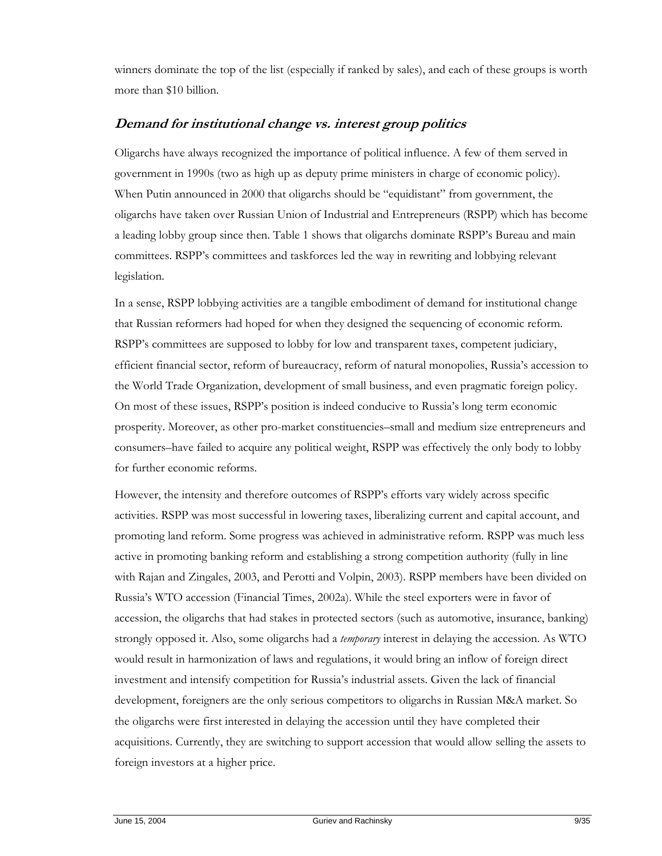winners dominate the top of the list (especially if ranked by sales), and each of these groups is worth more than \$10 billion.

## **Demand for institutional change vs. interest group politics**

Oligarchs have always recognized the importance of political influence. A few of them served in government in 1990s (two as high up as deputy prime ministers in charge of economic policy). When Putin announced in 2000 that oligarchs should be "equidistant" from government, the oligarchs have taken over Russian Union of Industrial and Entrepreneurs (RSPP) which has become a leading lobby group since then. Table 1 shows that oligarchs dominate RSPP's Bureau and main committees. RSPP's committees and taskforces led the way in rewriting and lobbying relevant legislation.

In a sense, RSPP lobbying activities are a tangible embodiment of demand for institutional change that Russian reformers had hoped for when they designed the sequencing of economic reform. RSPP's committees are supposed to lobby for low and transparent taxes, competent judiciary, efficient financial sector, reform of bureaucracy, reform of natural monopolies, Russia's accession to the World Trade Organization, development of small business, and even pragmatic foreign policy. On most of these issues, RSPP's position is indeed conducive to Russia's long term economic prosperity. Moreover, as other pro-market constituencies–small and medium size entrepreneurs and consumers–have failed to acquire any political weight, RSPP was effectively the only body to lobby for further economic reforms.

However, the intensity and therefore outcomes of RSPP's efforts vary widely across specific activities. RSPP was most successful in lowering taxes, liberalizing current and capital account, and promoting land reform. Some progress was achieved in administrative reform. RSPP was much less active in promoting banking reform and establishing a strong competition authority (fully in line with Rajan and Zingales, 2003, and Perotti and Volpin, 2003). RSPP members have been divided on Russia's WTO accession (Financial Times, 2002a). While the steel exporters were in favor of accession, the oligarchs that had stakes in protected sectors (such as automotive, insurance, banking) strongly opposed it. Also, some oligarchs had a *temporary* interest in delaying the accession. As WTO would result in harmonization of laws and regulations, it would bring an inflow of foreign direct investment and intensify competition for Russia's industrial assets. Given the lack of financial development, foreigners are the only serious competitors to oligarchs in Russian M&A market. So the oligarchs were first interested in delaying the accession until they have completed their acquisitions. Currently, they are switching to support accession that would allow selling the assets to foreign investors at a higher price.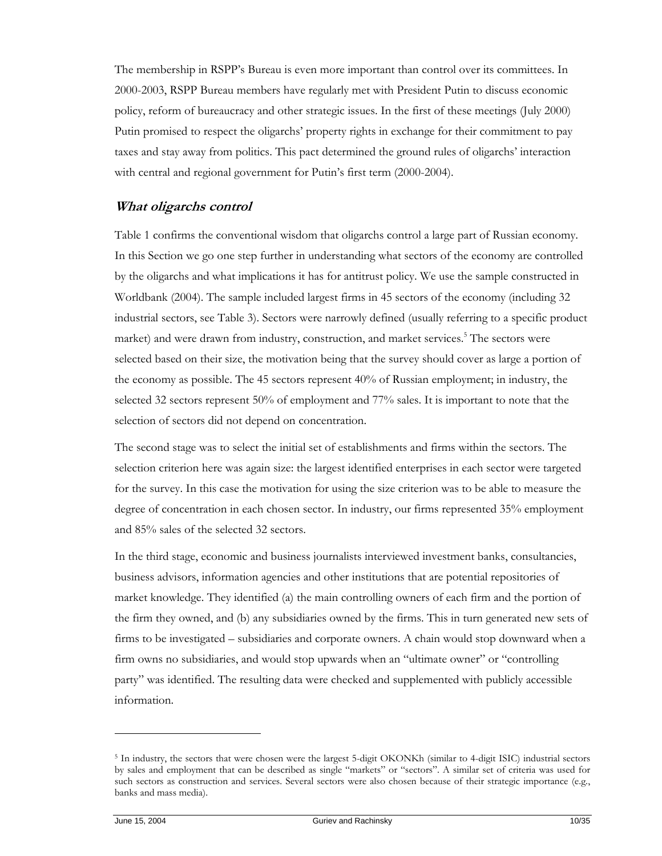The membership in RSPP's Bureau is even more important than control over its committees. In 2000-2003, RSPP Bureau members have regularly met with President Putin to discuss economic policy, reform of bureaucracy and other strategic issues. In the first of these meetings (July 2000) Putin promised to respect the oligarchs' property rights in exchange for their commitment to pay taxes and stay away from politics. This pact determined the ground rules of oligarchs' interaction with central and regional government for Putin's first term (2000-2004).

## **What oligarchs control**

Table 1 confirms the conventional wisdom that oligarchs control a large part of Russian economy. In this Section we go one step further in understanding what sectors of the economy are controlled by the oligarchs and what implications it has for antitrust policy. We use the sample constructed in Worldbank (2004). The sample included largest firms in 45 sectors of the economy (including 32 industrial sectors, see Table 3). Sectors were narrowly defined (usually referring to a specific product market) and were drawn from industry, construction, and market services.<sup>5</sup> The sectors were selected based on their size, the motivation being that the survey should cover as large a portion of the economy as possible. The 45 sectors represent 40% of Russian employment; in industry, the selected 32 sectors represent 50% of employment and 77% sales. It is important to note that the selection of sectors did not depend on concentration.

The second stage was to select the initial set of establishments and firms within the sectors. The selection criterion here was again size: the largest identified enterprises in each sector were targeted for the survey. In this case the motivation for using the size criterion was to be able to measure the degree of concentration in each chosen sector. In industry, our firms represented 35% employment and 85% sales of the selected 32 sectors.

In the third stage, economic and business journalists interviewed investment banks, consultancies, business advisors, information agencies and other institutions that are potential repositories of market knowledge. They identified (a) the main controlling owners of each firm and the portion of the firm they owned, and (b) any subsidiaries owned by the firms. This in turn generated new sets of firms to be investigated – subsidiaries and corporate owners. A chain would stop downward when a firm owns no subsidiaries, and would stop upwards when an "ultimate owner" or "controlling party" was identified. The resulting data were checked and supplemented with publicly accessible information.

<sup>5</sup> In industry, the sectors that were chosen were the largest 5-digit OKONKh (similar to 4-digit ISIC) industrial sectors by sales and employment that can be described as single "markets" or "sectors". A similar set of criteria was used for such sectors as construction and services. Several sectors were also chosen because of their strategic importance (e.g., banks and mass media).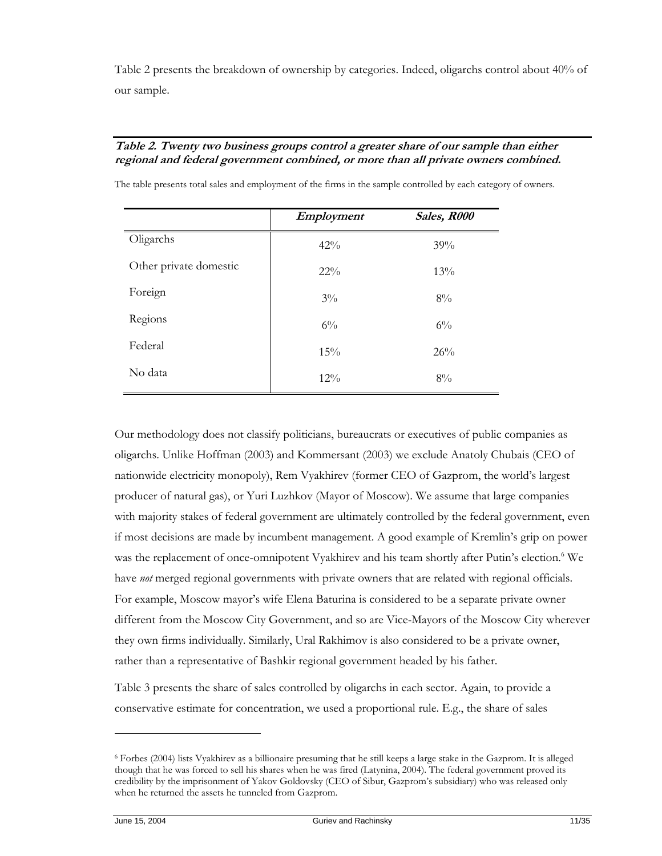Table 2 presents the breakdown of ownership by categories. Indeed, oligarchs control about 40% of our sample.

#### **Table 2. Twenty two business groups control a greater share of our sample than either regional and federal government combined, or more than all private owners combined.**

|                        | Employment | Sales, R000 |
|------------------------|------------|-------------|
| Oligarchs              | $42\%$     | 39%         |
| Other private domestic | $22\%$     | 13%         |
| Foreign                | $3\%$      | 8%          |
| Regions                | $6\%$      | $6\%$       |
| Federal                | 15%        | 26%         |
| No data                | $12\%$     | 8%          |

The table presents total sales and employment of the firms in the sample controlled by each category of owners.

Our methodology does not classify politicians, bureaucrats or executives of public companies as oligarchs. Unlike Hoffman (2003) and Kommersant (2003) we exclude Anatoly Chubais (CEO of nationwide electricity monopoly), Rem Vyakhirev (former CEO of Gazprom, the world's largest producer of natural gas), or Yuri Luzhkov (Mayor of Moscow). We assume that large companies with majority stakes of federal government are ultimately controlled by the federal government, even if most decisions are made by incumbent management. A good example of Kremlin's grip on power was the replacement of once-omnipotent Vyakhirev and his team shortly after Putin's election.<sup>6</sup> We have *not* merged regional governments with private owners that are related with regional officials. For example, Moscow mayor's wife Elena Baturina is considered to be a separate private owner different from the Moscow City Government, and so are Vice-Mayors of the Moscow City wherever they own firms individually. Similarly, Ural Rakhimov is also considered to be a private owner, rather than a representative of Bashkir regional government headed by his father.

Table 3 presents the share of sales controlled by oligarchs in each sector. Again, to provide a conservative estimate for concentration, we used a proportional rule. E.g., the share of sales

<sup>6</sup> Forbes (2004) lists Vyakhirev as a billionaire presuming that he still keeps a large stake in the Gazprom. It is alleged though that he was forced to sell his shares when he was fired (Latynina, 2004). The federal government proved its credibility by the imprisonment of Yakov Goldovsky (CEO of Sibur, Gazprom's subsidiary) who was released only when he returned the assets he tunneled from Gazprom.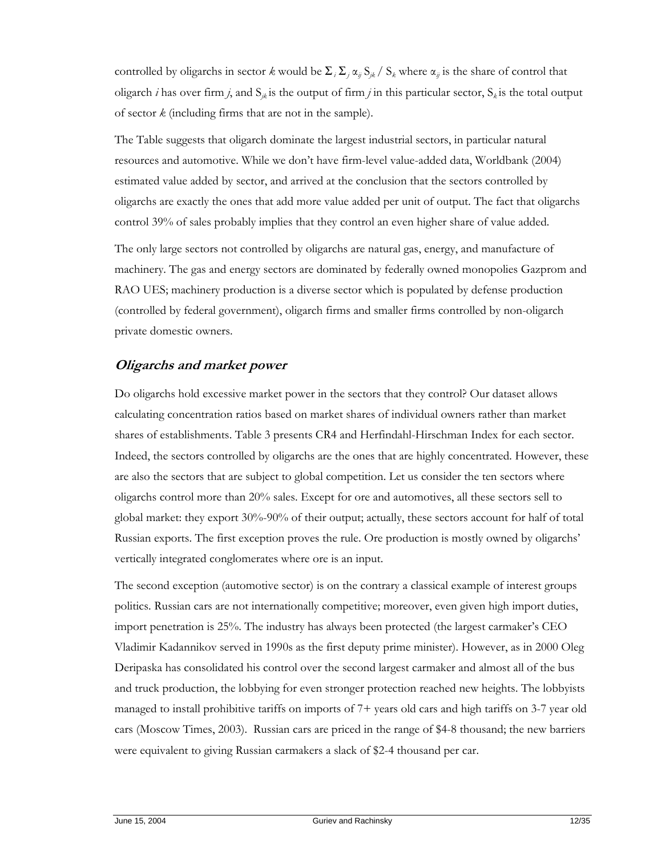controlled by oligarchs in sector *k* would be  $\Sigma_i \Sigma_j \alpha_{ij} S_{jk}$  /  $S_k$  where  $\alpha_{ij}$  is the share of control that oligarch *i* has over firm *j*, and  $S_{jk}$  is the output of firm *j* in this particular sector,  $S_k$  is the total output of sector *k* (including firms that are not in the sample).

The Table suggests that oligarch dominate the largest industrial sectors, in particular natural resources and automotive. While we don't have firm-level value-added data, Worldbank (2004) estimated value added by sector, and arrived at the conclusion that the sectors controlled by oligarchs are exactly the ones that add more value added per unit of output. The fact that oligarchs control 39% of sales probably implies that they control an even higher share of value added.

The only large sectors not controlled by oligarchs are natural gas, energy, and manufacture of machinery. The gas and energy sectors are dominated by federally owned monopolies Gazprom and RAO UES; machinery production is a diverse sector which is populated by defense production (controlled by federal government), oligarch firms and smaller firms controlled by non-oligarch private domestic owners.

## **Oligarchs and market power**

Do oligarchs hold excessive market power in the sectors that they control? Our dataset allows calculating concentration ratios based on market shares of individual owners rather than market shares of establishments. Table 3 presents CR4 and Herfindahl-Hirschman Index for each sector. Indeed, the sectors controlled by oligarchs are the ones that are highly concentrated. However, these are also the sectors that are subject to global competition. Let us consider the ten sectors where oligarchs control more than 20% sales. Except for ore and automotives, all these sectors sell to global market: they export 30%-90% of their output; actually, these sectors account for half of total Russian exports. The first exception proves the rule. Ore production is mostly owned by oligarchs' vertically integrated conglomerates where ore is an input.

The second exception (automotive sector) is on the contrary a classical example of interest groups politics. Russian cars are not internationally competitive; moreover, even given high import duties, import penetration is 25%. The industry has always been protected (the largest carmaker's CEO Vladimir Kadannikov served in 1990s as the first deputy prime minister). However, as in 2000 Oleg Deripaska has consolidated his control over the second largest carmaker and almost all of the bus and truck production, the lobbying for even stronger protection reached new heights. The lobbyists managed to install prohibitive tariffs on imports of 7+ years old cars and high tariffs on 3-7 year old cars (Moscow Times, 2003). Russian cars are priced in the range of \$4-8 thousand; the new barriers were equivalent to giving Russian carmakers a slack of \$2-4 thousand per car.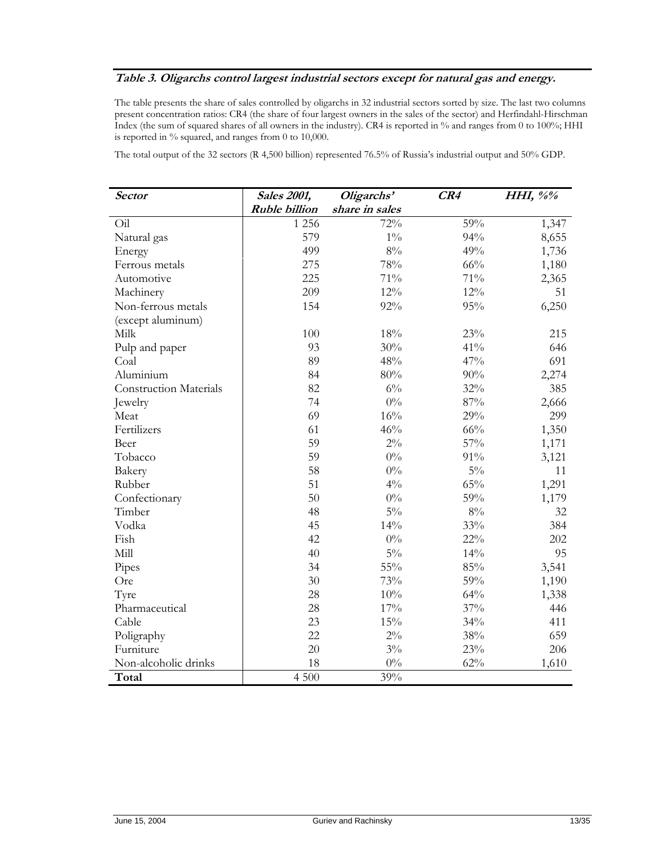#### **Table 3. Oligarchs control largest industrial sectors except for natural gas and energy.**

The table presents the share of sales controlled by oligarchs in 32 industrial sectors sorted by size. The last two columns present concentration ratios: CR4 (the share of four largest owners in the sales of the sector) and Herfindahl-Hirschman Index (the sum of squared shares of all owners in the industry). CR4 is reported in % and ranges from 0 to 100%; HHI is reported in % squared, and ranges from 0 to 10,000.

The total output of the 32 sectors (R 4,500 billion) represented 76.5% of Russia's industrial output and 50% GDP.

| <i>Sector</i>                 | <b>Sales 2001,</b>   | Oligarchs'     | CR4    | HHI, $\frac{6}{6}$ |  |
|-------------------------------|----------------------|----------------|--------|--------------------|--|
|                               | <b>Ruble billion</b> | share in sales |        |                    |  |
| Oil                           | 1 2 5 6              | 72%            | 59%    | 1,347              |  |
| Natural gas                   | 579                  | $1\%$          | 94%    | 8,655              |  |
| Energy                        | 499                  | $8\%$          | 49%    | 1,736              |  |
| Ferrous metals                | 275                  | 78%            | 66%    | 1,180              |  |
| Automotive                    | 225                  | 71%            | 71%    | 2,365              |  |
| Machinery                     | 209                  | $12\%$         | 12%    | 51                 |  |
| Non-ferrous metals            | 154                  | 92%            | 95%    | 6,250              |  |
| (except aluminum)             |                      |                |        |                    |  |
| Milk                          | 100                  | 18%            | 23%    | 215                |  |
| Pulp and paper                | 93                   | 30%            | 41%    | 646                |  |
| Coal                          | 89                   | 48%            | 47%    | 691                |  |
| Aluminium                     | 84                   | 80%            | 90%    | 2,274              |  |
| <b>Construction Materials</b> | 82                   | $6\%$          | 32%    | 385                |  |
| Jewelry                       | 74                   | $0\%$          | 87%    | 2,666              |  |
| Meat                          | 69                   | 16%            | 29%    | 299                |  |
| Fertilizers                   | 61                   | 46%            | 66%    | 1,350              |  |
| Beer                          | 59                   | $2\%$          | 57%    | 1,171              |  |
| Tobacco                       | 59                   | $0\%$          | 91%    | 3,121              |  |
| Bakery                        | 58                   | $0\%$          | $5\%$  | 11                 |  |
| Rubber                        | 51                   | $4\%$          | 65%    | 1,291              |  |
| Confectionary                 | 50                   | $0\%$          | 59%    | 1,179              |  |
| Timber                        | 48                   | $5\%$          | $8\%$  | 32                 |  |
| Vodka                         | 45                   | 14%            | 33%    | 384                |  |
| Fish                          | 42                   | $0\%$          | $22\%$ | 202                |  |
| Mill                          | 40                   | $5\%$          | 14%    | 95                 |  |
| Pipes                         | 34                   | $55\%$         | 85%    | 3,541              |  |
| Ore                           | 30                   | 73%            | 59%    | 1,190              |  |
| Tyre                          | 28                   | 10%            | 64%    | 1,338              |  |
| Pharmaceutical                | 28                   | 17%            | 37%    | 446                |  |
| Cable                         | 23                   | 15%            | 34%    | 411                |  |
| Poligraphy                    | 22                   | $2\%$          | 38%    | 659                |  |
| Furniture                     | 20                   | $3\%$          | 23%    | 206                |  |
| Non-alcoholic drinks          | 18                   | $0\%$          | 62%    | 1,610              |  |
| Total                         | 4 500                | 39%            |        |                    |  |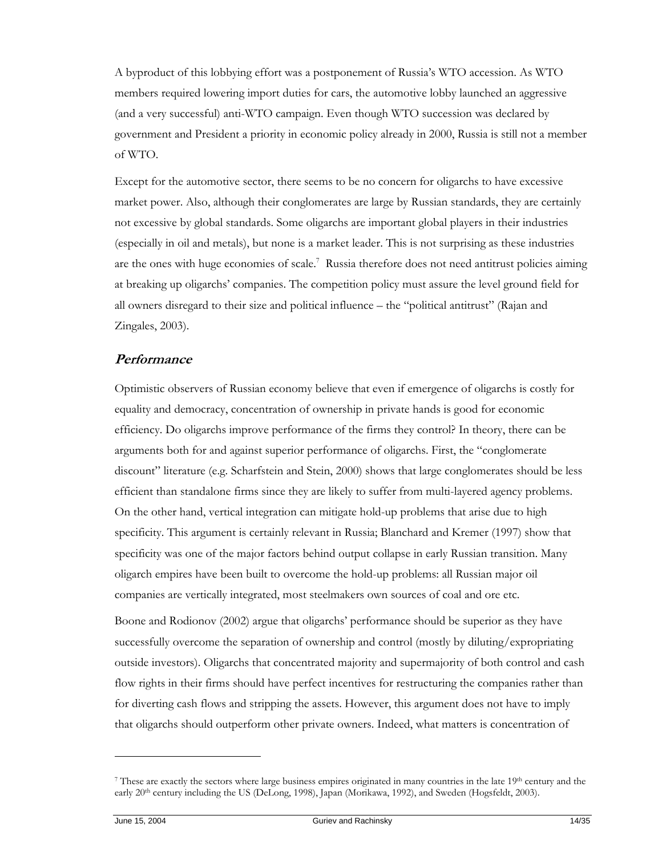A byproduct of this lobbying effort was a postponement of Russia's WTO accession. As WTO members required lowering import duties for cars, the automotive lobby launched an aggressive (and a very successful) anti-WTO campaign. Even though WTO succession was declared by government and President a priority in economic policy already in 2000, Russia is still not a member of WTO.

Except for the automotive sector, there seems to be no concern for oligarchs to have excessive market power. Also, although their conglomerates are large by Russian standards, they are certainly not excessive by global standards. Some oligarchs are important global players in their industries (especially in oil and metals), but none is a market leader. This is not surprising as these industries are the ones with huge economies of scale.<sup>7</sup> Russia therefore does not need antitrust policies aiming at breaking up oligarchs' companies. The competition policy must assure the level ground field for all owners disregard to their size and political influence – the "political antitrust" (Rajan and Zingales, 2003).

#### **Performance**

Optimistic observers of Russian economy believe that even if emergence of oligarchs is costly for equality and democracy, concentration of ownership in private hands is good for economic efficiency. Do oligarchs improve performance of the firms they control? In theory, there can be arguments both for and against superior performance of oligarchs. First, the "conglomerate discount" literature (e.g. Scharfstein and Stein, 2000) shows that large conglomerates should be less efficient than standalone firms since they are likely to suffer from multi-layered agency problems. On the other hand, vertical integration can mitigate hold-up problems that arise due to high specificity. This argument is certainly relevant in Russia; Blanchard and Kremer (1997) show that specificity was one of the major factors behind output collapse in early Russian transition. Many oligarch empires have been built to overcome the hold-up problems: all Russian major oil companies are vertically integrated, most steelmakers own sources of coal and ore etc.

Boone and Rodionov (2002) argue that oligarchs' performance should be superior as they have successfully overcome the separation of ownership and control (mostly by diluting/expropriating outside investors). Oligarchs that concentrated majority and supermajority of both control and cash flow rights in their firms should have perfect incentives for restructuring the companies rather than for diverting cash flows and stripping the assets. However, this argument does not have to imply that oligarchs should outperform other private owners. Indeed, what matters is concentration of

 $\ddot{\phantom{a}}$ 

<sup>&</sup>lt;sup>7</sup> These are exactly the sectors where large business empires originated in many countries in the late 19<sup>th</sup> century and the early 20<sup>th</sup> century including the US (DeLong, 1998), Japan (Morikawa, 1992), and Sweden (Hogsfeldt, 2003).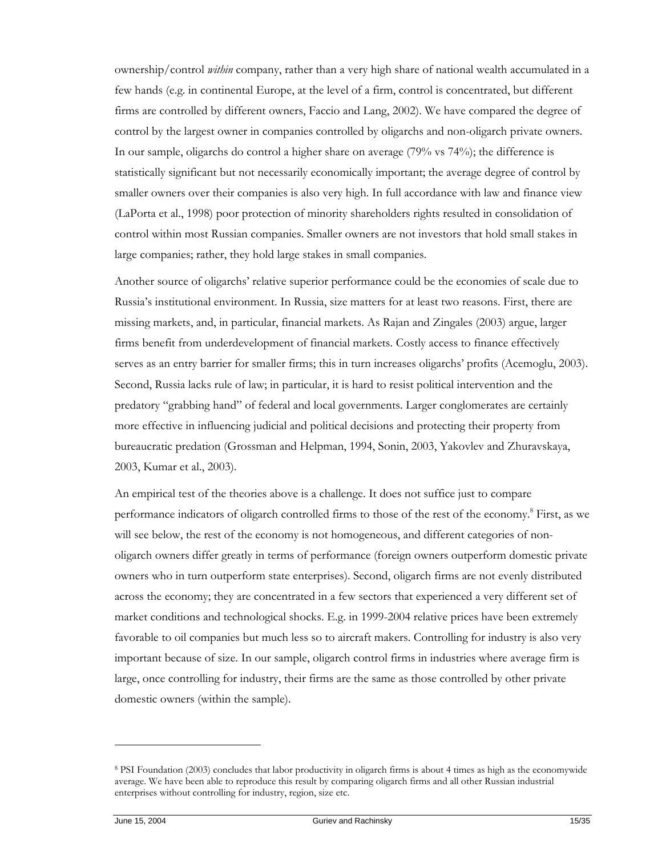ownership/control *within* company, rather than a very high share of national wealth accumulated in a few hands (e.g. in continental Europe, at the level of a firm, control is concentrated, but different firms are controlled by different owners, Faccio and Lang, 2002). We have compared the degree of control by the largest owner in companies controlled by oligarchs and non-oligarch private owners. In our sample, oligarchs do control a higher share on average (79% vs 74%); the difference is statistically significant but not necessarily economically important; the average degree of control by smaller owners over their companies is also very high. In full accordance with law and finance view (LaPorta et al., 1998) poor protection of minority shareholders rights resulted in consolidation of control within most Russian companies. Smaller owners are not investors that hold small stakes in large companies; rather, they hold large stakes in small companies.

Another source of oligarchs' relative superior performance could be the economies of scale due to Russia's institutional environment. In Russia, size matters for at least two reasons. First, there are missing markets, and, in particular, financial markets. As Rajan and Zingales (2003) argue, larger firms benefit from underdevelopment of financial markets. Costly access to finance effectively serves as an entry barrier for smaller firms; this in turn increases oligarchs' profits (Acemoglu, 2003). Second, Russia lacks rule of law; in particular, it is hard to resist political intervention and the predatory "grabbing hand" of federal and local governments. Larger conglomerates are certainly more effective in influencing judicial and political decisions and protecting their property from bureaucratic predation (Grossman and Helpman, 1994, Sonin, 2003, Yakovlev and Zhuravskaya, 2003, Kumar et al., 2003).

An empirical test of the theories above is a challenge. It does not suffice just to compare performance indicators of oligarch controlled firms to those of the rest of the economy.<sup>8</sup> First, as we will see below, the rest of the economy is not homogeneous, and different categories of nonoligarch owners differ greatly in terms of performance (foreign owners outperform domestic private owners who in turn outperform state enterprises). Second, oligarch firms are not evenly distributed across the economy; they are concentrated in a few sectors that experienced a very different set of market conditions and technological shocks. E.g. in 1999-2004 relative prices have been extremely favorable to oil companies but much less so to aircraft makers. Controlling for industry is also very important because of size. In our sample, oligarch control firms in industries where average firm is large, once controlling for industry, their firms are the same as those controlled by other private domestic owners (within the sample).

 $\ddot{\phantom{a}}$ 

<sup>8</sup> PSI Foundation (2003) concludes that labor productivity in oligarch firms is about 4 times as high as the economywide average. We have been able to reproduce this result by comparing oligarch firms and all other Russian industrial enterprises without controlling for industry, region, size etc.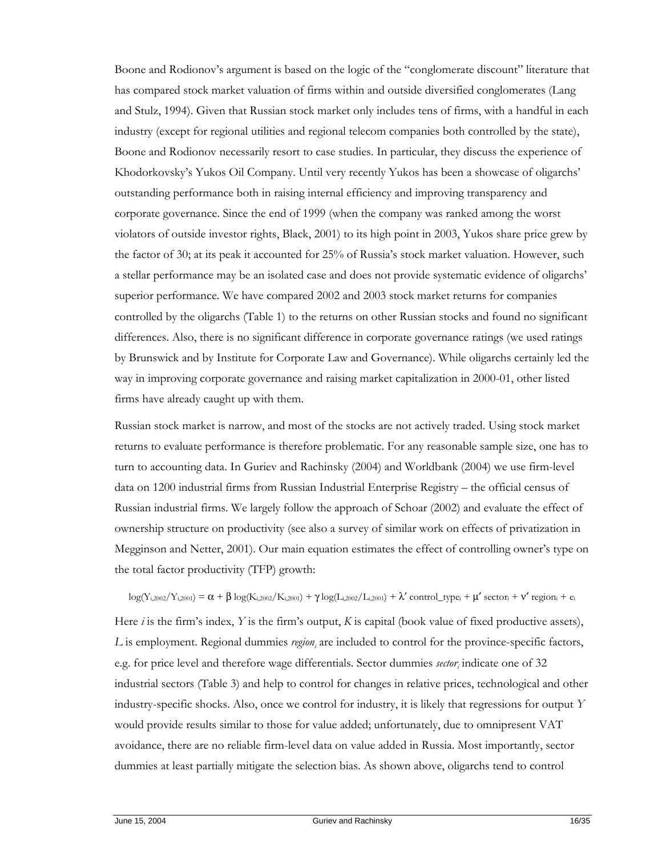Boone and Rodionov's argument is based on the logic of the "conglomerate discount" literature that has compared stock market valuation of firms within and outside diversified conglomerates (Lang and Stulz, 1994). Given that Russian stock market only includes tens of firms, with a handful in each industry (except for regional utilities and regional telecom companies both controlled by the state), Boone and Rodionov necessarily resort to case studies. In particular, they discuss the experience of Khodorkovsky's Yukos Oil Company. Until very recently Yukos has been a showcase of oligarchs' outstanding performance both in raising internal efficiency and improving transparency and corporate governance. Since the end of 1999 (when the company was ranked among the worst violators of outside investor rights, Black, 2001) to its high point in 2003, Yukos share price grew by the factor of 30; at its peak it accounted for 25% of Russia's stock market valuation. However, such a stellar performance may be an isolated case and does not provide systematic evidence of oligarchs' superior performance. We have compared 2002 and 2003 stock market returns for companies controlled by the oligarchs (Table 1) to the returns on other Russian stocks and found no significant differences. Also, there is no significant difference in corporate governance ratings (we used ratings by Brunswick and by Institute for Corporate Law and Governance). While oligarchs certainly led the way in improving corporate governance and raising market capitalization in 2000-01, other listed firms have already caught up with them.

Russian stock market is narrow, and most of the stocks are not actively traded. Using stock market returns to evaluate performance is therefore problematic. For any reasonable sample size, one has to turn to accounting data. In Guriev and Rachinsky (2004) and Worldbank (2004) we use firm-level data on 1200 industrial firms from Russian Industrial Enterprise Registry – the official census of Russian industrial firms. We largely follow the approach of Schoar (2002) and evaluate the effect of ownership structure on productivity (see also a survey of similar work on effects of privatization in Megginson and Netter, 2001). Our main equation estimates the effect of controlling owner's type on the total factor productivity (TFP) growth:

#### $\log(Y_{i,2002}/Y_{i,2001}) = \alpha + \beta \log(K_{i,2002}/K_{i,2001}) + \gamma \log(L_{i,2002}/L_{i,2001}) + \lambda' \text{ control\_type}_i + \mu' \text{ sector}_i + \nu' \text{ region}_i + e_i$

Here *i* is the firm's index, *Y* is the firm's output, *K* is capital (book value of fixed productive assets), L is employment. Regional dummies region<sub>i</sub> are included to control for the province-specific factors, e.g. for price level and therefore wage differentials. Sector dummies *sector*, indicate one of 32 industrial sectors (Table 3) and help to control for changes in relative prices, technological and other industry-specific shocks. Also, once we control for industry, it is likely that regressions for output *Y* would provide results similar to those for value added; unfortunately, due to omnipresent VAT avoidance, there are no reliable firm-level data on value added in Russia. Most importantly, sector dummies at least partially mitigate the selection bias. As shown above, oligarchs tend to control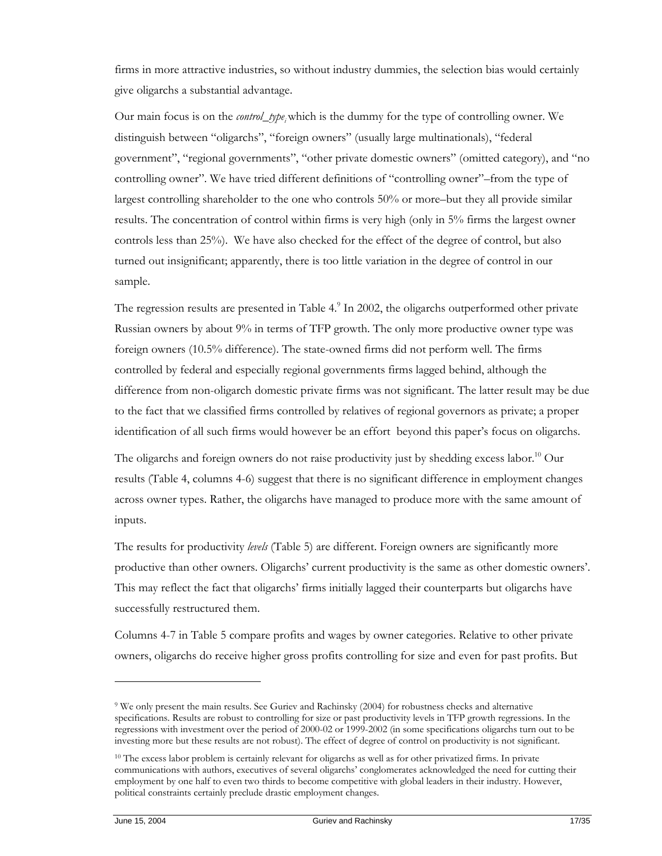firms in more attractive industries, so without industry dummies, the selection bias would certainly give oligarchs a substantial advantage.

Our main focus is on the *control\_type*, which is the dummy for the type of controlling owner. We distinguish between "oligarchs", "foreign owners" (usually large multinationals), "federal government", "regional governments", "other private domestic owners" (omitted category), and "no controlling owner". We have tried different definitions of "controlling owner"–from the type of largest controlling shareholder to the one who controls 50% or more–but they all provide similar results. The concentration of control within firms is very high (only in 5% firms the largest owner controls less than 25%). We have also checked for the effect of the degree of control, but also turned out insignificant; apparently, there is too little variation in the degree of control in our sample.

The regression results are presented in Table 4.<sup>9</sup> In 2002, the oligarchs outperformed other private Russian owners by about 9% in terms of TFP growth. The only more productive owner type was foreign owners (10.5% difference). The state-owned firms did not perform well. The firms controlled by federal and especially regional governments firms lagged behind, although the difference from non-oligarch domestic private firms was not significant. The latter result may be due to the fact that we classified firms controlled by relatives of regional governors as private; a proper identification of all such firms would however be an effort beyond this paper's focus on oligarchs.

The oligarchs and foreign owners do not raise productivity just by shedding excess labor.<sup>10</sup> Our results (Table 4, columns 4-6) suggest that there is no significant difference in employment changes across owner types. Rather, the oligarchs have managed to produce more with the same amount of inputs.

The results for productivity *levels* (Table 5) are different. Foreign owners are significantly more productive than other owners. Oligarchs' current productivity is the same as other domestic owners'. This may reflect the fact that oligarchs' firms initially lagged their counterparts but oligarchs have successfully restructured them.

Columns 4-7 in Table 5 compare profits and wages by owner categories. Relative to other private owners, oligarchs do receive higher gross profits controlling for size and even for past profits. But

<sup>9</sup> We only present the main results. See Guriev and Rachinsky (2004) for robustness checks and alternative specifications. Results are robust to controlling for size or past productivity levels in TFP growth regressions. In the regressions with investment over the period of 2000-02 or 1999-2002 (in some specifications oligarchs turn out to be investing more but these results are not robust). The effect of degree of control on productivity is not significant.

<sup>&</sup>lt;sup>10</sup> The excess labor problem is certainly relevant for oligarchs as well as for other privatized firms. In private communications with authors, executives of several oligarchs' conglomerates acknowledged the need for cutting their employment by one half to even two thirds to become competitive with global leaders in their industry. However, political constraints certainly preclude drastic employment changes.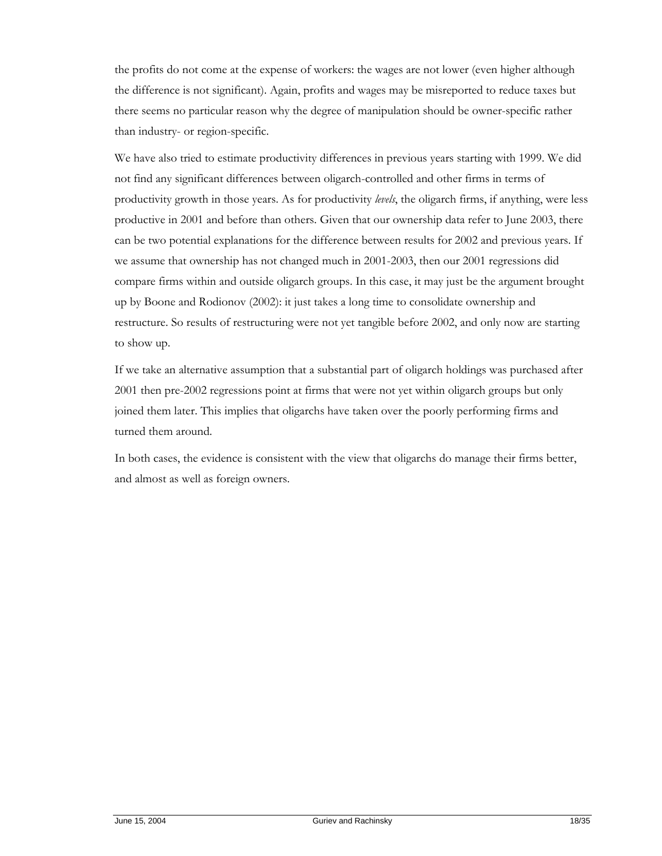the profits do not come at the expense of workers: the wages are not lower (even higher although the difference is not significant). Again, profits and wages may be misreported to reduce taxes but there seems no particular reason why the degree of manipulation should be owner-specific rather than industry- or region-specific.

We have also tried to estimate productivity differences in previous years starting with 1999. We did not find any significant differences between oligarch-controlled and other firms in terms of productivity growth in those years. As for productivity *levels*, the oligarch firms, if anything, were less productive in 2001 and before than others. Given that our ownership data refer to June 2003, there can be two potential explanations for the difference between results for 2002 and previous years. If we assume that ownership has not changed much in 2001-2003, then our 2001 regressions did compare firms within and outside oligarch groups. In this case, it may just be the argument brought up by Boone and Rodionov (2002): it just takes a long time to consolidate ownership and restructure. So results of restructuring were not yet tangible before 2002, and only now are starting to show up.

If we take an alternative assumption that a substantial part of oligarch holdings was purchased after 2001 then pre-2002 regressions point at firms that were not yet within oligarch groups but only joined them later. This implies that oligarchs have taken over the poorly performing firms and turned them around.

In both cases, the evidence is consistent with the view that oligarchs do manage their firms better, and almost as well as foreign owners.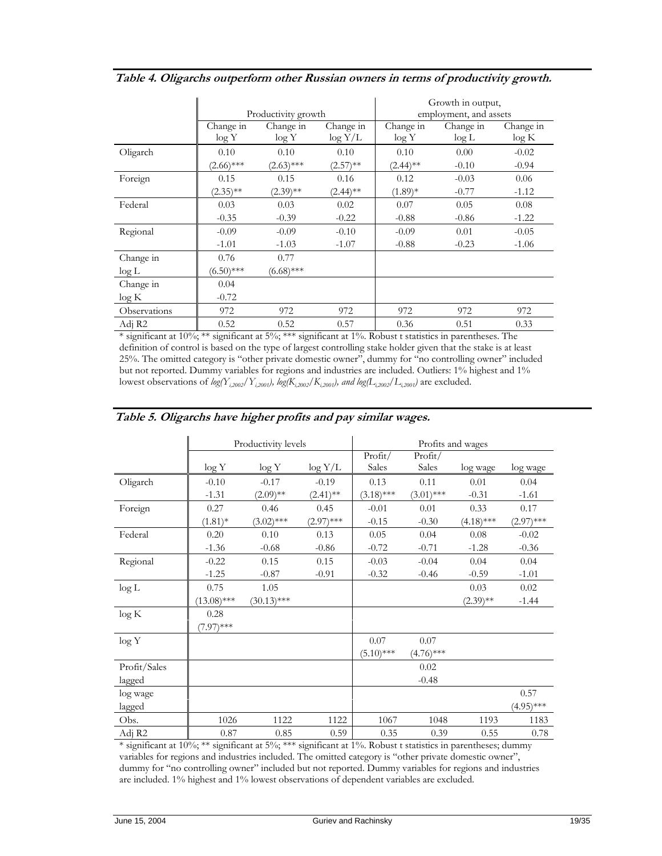|                       |                      | Productivity growth  |             | Growth in output,<br>employment, and assets |           |           |  |
|-----------------------|----------------------|----------------------|-------------|---------------------------------------------|-----------|-----------|--|
|                       | Change in            | Change in            | Change in   | Change in                                   | Change in | Change in |  |
|                       | log Y                | log Y                | $\log Y/L$  | log Y                                       | $\log L$  | log K     |  |
| Oligarch              | 0.10                 | 0.10                 | 0.10        | 0.10                                        | 0.00      | $-0.02$   |  |
|                       | $(2.66)$ ***         | $(2.63)$ ***         | $(2.57)$ ** | $(2.44)$ **                                 | $-0.10$   | $-0.94$   |  |
| Foreign               | 0.15                 | 0.15                 | 0.16        | 0.12                                        | $-0.03$   | 0.06      |  |
|                       | $(2.35)$ **          | $(2.39)$ **          | $(2.44)$ ** | $(1.89)*$                                   | $-0.77$   | $-1.12$   |  |
| Federal               | 0.03                 | 0.03                 | 0.02        | 0.07                                        | 0.05      | 0.08      |  |
|                       | $-0.35$              | $-0.39$              | $-0.22$     | $-0.88$                                     | $-0.86$   | $-1.22$   |  |
| Regional              | $-0.09$              | $-0.09$              | $-0.10$     | $-0.09$                                     | 0.01      | $-0.05$   |  |
|                       | $-1.01$              | $-1.03$              | $-1.07$     | $-0.88$                                     | $-0.23$   | $-1.06$   |  |
| Change in<br>$\log L$ | 0.76<br>$(6.50)$ *** | 0.77<br>$(6.68)$ *** |             |                                             |           |           |  |
| Change in<br>$\log K$ | 0.04<br>$-0.72$      |                      |             |                                             |           |           |  |
| Observations          | 972                  | 972                  | 972         | 972                                         | 972       | 972       |  |
| Adi R2                | 0.52                 | 0.52                 | 0.57        | 0.36                                        | 0.51      | 0.33      |  |

| Table 4. Oligarchs outperform other Russian owners in terms of productivity growth. |  |  |  |  |  |  |  |  |  |  |
|-------------------------------------------------------------------------------------|--|--|--|--|--|--|--|--|--|--|
|-------------------------------------------------------------------------------------|--|--|--|--|--|--|--|--|--|--|

\* significant at 10%; \*\* significant at 5%; \*\*\* significant at 1%. Robust t statistics in parentheses. The definition of control is based on the type of largest controlling stake holder given that the stake is at least 25%. The omitted category is "other private domestic owner", dummy for "no controlling owner" included but not reported. Dummy variables for regions and industries are included. Outliers: 1% highest and 1% lowest observations of  $log(Y_{i,2002}/Y_{i,2001})$ ,  $log(K_{i,2002}/K_{i,2001})$ , and  $log(L_{i,2002}/L_{i,2001})$  are excluded.

|              | Productivity levels |               |              | Profits and wages |              |              |              |  |
|--------------|---------------------|---------------|--------------|-------------------|--------------|--------------|--------------|--|
|              |                     |               |              | Profit/           | Profit/      |              |              |  |
|              | log Y               | log Y         | $\log Y/L$   | Sales             | Sales        | log wage     | log wage     |  |
| Oligarch     | $-0.10$             | $-0.17$       | $-0.19$      | 0.13              | 0.11         | 0.01         | 0.04         |  |
|              | $-1.31$             | $(2.09)$ **   | $(2.41)$ **  | $(3.18)$ ***      | $(3.01)$ *** | $-0.31$      | $-1.61$      |  |
| Foreign      | 0.27                | 0.46          | 0.45         | $-0.01$           | 0.01         | 0.33         | 0.17         |  |
|              | $(1.81)^*$          | $(3.02)$ ***  | $(2.97)$ *** | $-0.15$           | $-0.30$      | $(4.18)$ *** | $(2.97)$ *** |  |
| Federal      | 0.20                | 0.10          | 0.13         | 0.05              | 0.04         | 0.08         | $-0.02$      |  |
|              | $-1.36$             | $-0.68$       | $-0.86$      | $-0.72$           | $-0.71$      | $-1.28$      | $-0.36$      |  |
| Regional     | $-0.22$             | 0.15          | 0.15         | $-0.03$           | $-0.04$      | 0.04         | 0.04         |  |
|              | $-1.25$             | $-0.87$       | $-0.91$      | $-0.32$           | $-0.46$      | $-0.59$      | $-1.01$      |  |
| log L        | 0.75                | 1.05          |              |                   |              | 0.03         | 0.02         |  |
|              | $(13.08)$ ***       | $(30.13)$ *** |              |                   |              | $(2.39)$ **  | $-1.44$      |  |
| log K        | 0.28                |               |              |                   |              |              |              |  |
|              | $(7.97)$ ***        |               |              |                   |              |              |              |  |
| log Y        |                     |               |              | 0.07              | 0.07         |              |              |  |
|              |                     |               |              | $(5.10)$ ***      | $(4.76)$ *** |              |              |  |
| Profit/Sales |                     |               |              |                   | 0.02         |              |              |  |
| lagged       |                     |               |              |                   | $-0.48$      |              |              |  |
| log wage     |                     |               |              |                   |              |              | 0.57         |  |
| lagged       |                     |               |              |                   |              |              | $(4.95)$ *** |  |
| Obs.         | 1026                | 1122          | 1122         | 1067              | 1048         | 1193         | 1183         |  |
| Adj R2       | 0.87                | 0.85          | 0.59         | 0.35              | 0.39         | 0.55         | 0.78         |  |

# **Table 5. Oligarchs have higher profits and pay similar wages.**

\* significant at 10%; \*\* significant at 5%; \*\*\* significant at 1%. Robust t statistics in parentheses; dummy variables for regions and industries included. The omitted category is "other private domestic owner", dummy for "no controlling owner" included but not reported. Dummy variables for regions and industries are included. 1% highest and 1% lowest observations of dependent variables are excluded.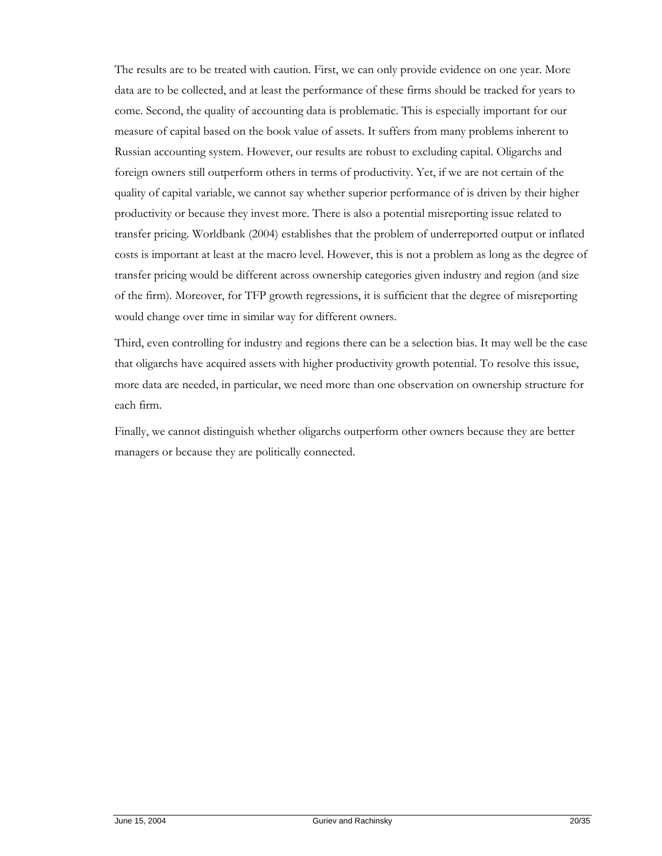The results are to be treated with caution. First, we can only provide evidence on one year. More data are to be collected, and at least the performance of these firms should be tracked for years to come. Second, the quality of accounting data is problematic. This is especially important for our measure of capital based on the book value of assets. It suffers from many problems inherent to Russian accounting system. However, our results are robust to excluding capital. Oligarchs and foreign owners still outperform others in terms of productivity. Yet, if we are not certain of the quality of capital variable, we cannot say whether superior performance of is driven by their higher productivity or because they invest more. There is also a potential misreporting issue related to transfer pricing. Worldbank (2004) establishes that the problem of underreported output or inflated costs is important at least at the macro level. However, this is not a problem as long as the degree of transfer pricing would be different across ownership categories given industry and region (and size of the firm). Moreover, for TFP growth regressions, it is sufficient that the degree of misreporting would change over time in similar way for different owners.

Third, even controlling for industry and regions there can be a selection bias. It may well be the case that oligarchs have acquired assets with higher productivity growth potential. To resolve this issue, more data are needed, in particular, we need more than one observation on ownership structure for each firm.

Finally, we cannot distinguish whether oligarchs outperform other owners because they are better managers or because they are politically connected.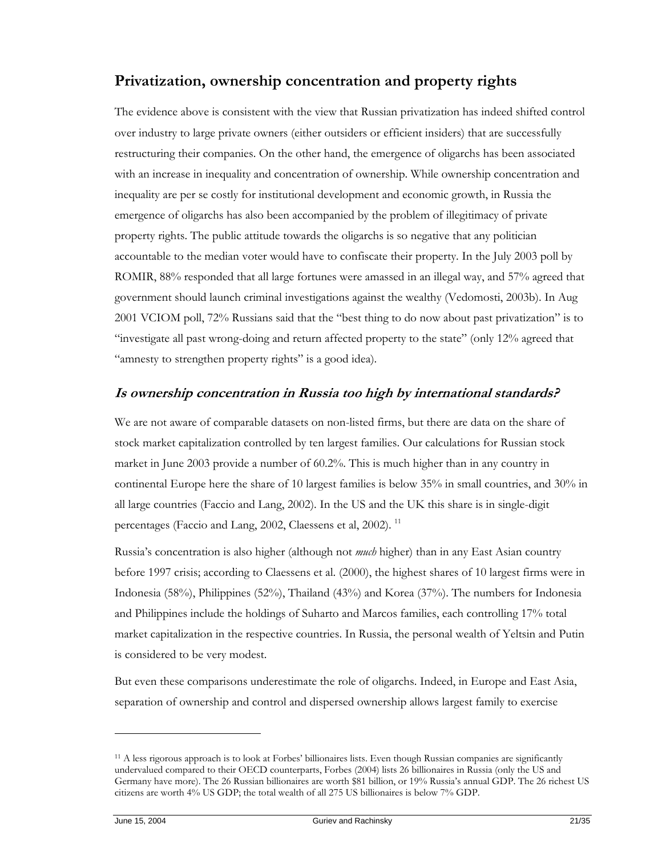# **Privatization, ownership concentration and property rights**

The evidence above is consistent with the view that Russian privatization has indeed shifted control over industry to large private owners (either outsiders or efficient insiders) that are successfully restructuring their companies. On the other hand, the emergence of oligarchs has been associated with an increase in inequality and concentration of ownership. While ownership concentration and inequality are per se costly for institutional development and economic growth, in Russia the emergence of oligarchs has also been accompanied by the problem of illegitimacy of private property rights. The public attitude towards the oligarchs is so negative that any politician accountable to the median voter would have to confiscate their property. In the July 2003 poll by ROMIR, 88% responded that all large fortunes were amassed in an illegal way, and 57% agreed that government should launch criminal investigations against the wealthy (Vedomosti, 2003b). In Aug 2001 VCIOM poll, 72% Russians said that the "best thing to do now about past privatization" is to "investigate all past wrong-doing and return affected property to the state" (only 12% agreed that "amnesty to strengthen property rights" is a good idea).

# **Is ownership concentration in Russia too high by international standards?**

We are not aware of comparable datasets on non-listed firms, but there are data on the share of stock market capitalization controlled by ten largest families. Our calculations for Russian stock market in June 2003 provide a number of 60.2%. This is much higher than in any country in continental Europe here the share of 10 largest families is below 35% in small countries, and 30% in all large countries (Faccio and Lang, 2002). In the US and the UK this share is in single-digit percentages (Faccio and Lang, 2002, Claessens et al, 2002).<sup>11</sup>

Russia's concentration is also higher (although not *much* higher) than in any East Asian country before 1997 crisis; according to Claessens et al. (2000), the highest shares of 10 largest firms were in Indonesia (58%), Philippines (52%), Thailand (43%) and Korea (37%). The numbers for Indonesia and Philippines include the holdings of Suharto and Marcos families, each controlling 17% total market capitalization in the respective countries. In Russia, the personal wealth of Yeltsin and Putin is considered to be very modest.

But even these comparisons underestimate the role of oligarchs. Indeed, in Europe and East Asia, separation of ownership and control and dispersed ownership allows largest family to exercise

<sup>11</sup> A less rigorous approach is to look at Forbes' billionaires lists. Even though Russian companies are significantly undervalued compared to their OECD counterparts, Forbes (2004) lists 26 billionaires in Russia (only the US and Germany have more). The 26 Russian billionaires are worth \$81 billion, or 19% Russia's annual GDP. The 26 richest US citizens are worth 4% US GDP; the total wealth of all 275 US billionaires is below 7% GDP.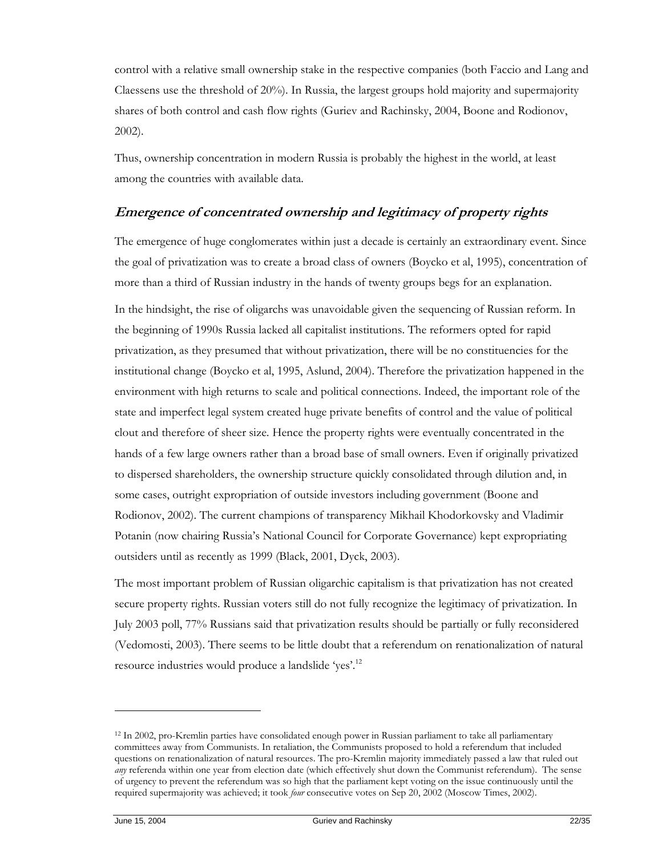control with a relative small ownership stake in the respective companies (both Faccio and Lang and Claessens use the threshold of 20%). In Russia, the largest groups hold majority and supermajority shares of both control and cash flow rights (Guriev and Rachinsky, 2004, Boone and Rodionov, 2002).

Thus, ownership concentration in modern Russia is probably the highest in the world, at least among the countries with available data.

# **Emergence of concentrated ownership and legitimacy of property rights**

The emergence of huge conglomerates within just a decade is certainly an extraordinary event. Since the goal of privatization was to create a broad class of owners (Boycko et al, 1995), concentration of more than a third of Russian industry in the hands of twenty groups begs for an explanation.

In the hindsight, the rise of oligarchs was unavoidable given the sequencing of Russian reform. In the beginning of 1990s Russia lacked all capitalist institutions. The reformers opted for rapid privatization, as they presumed that without privatization, there will be no constituencies for the institutional change (Boycko et al, 1995, Aslund, 2004). Therefore the privatization happened in the environment with high returns to scale and political connections. Indeed, the important role of the state and imperfect legal system created huge private benefits of control and the value of political clout and therefore of sheer size*.* Hence the property rights were eventually concentrated in the hands of a few large owners rather than a broad base of small owners. Even if originally privatized to dispersed shareholders, the ownership structure quickly consolidated through dilution and, in some cases, outright expropriation of outside investors including government (Boone and Rodionov, 2002). The current champions of transparency Mikhail Khodorkovsky and Vladimir Potanin (now chairing Russia's National Council for Corporate Governance) kept expropriating outsiders until as recently as 1999 (Black, 2001, Dyck, 2003).

The most important problem of Russian oligarchic capitalism is that privatization has not created secure property rights. Russian voters still do not fully recognize the legitimacy of privatization*.* In July 2003 poll, 77% Russians said that privatization results should be partially or fully reconsidered (Vedomosti, 2003). There seems to be little doubt that a referendum on renationalization of natural resource industries would produce a landslide 'yes'.12

 $\ddot{\phantom{a}}$ 

<sup>12</sup> In 2002, pro-Kremlin parties have consolidated enough power in Russian parliament to take all parliamentary committees away from Communists. In retaliation, the Communists proposed to hold a referendum that included questions on renationalization of natural resources. The pro-Kremlin majority immediately passed a law that ruled out *any* referenda within one year from election date (which effectively shut down the Communist referendum). The sense of urgency to prevent the referendum was so high that the parliament kept voting on the issue continuously until the required supermajority was achieved; it took *four* consecutive votes on Sep 20, 2002 (Moscow Times, 2002).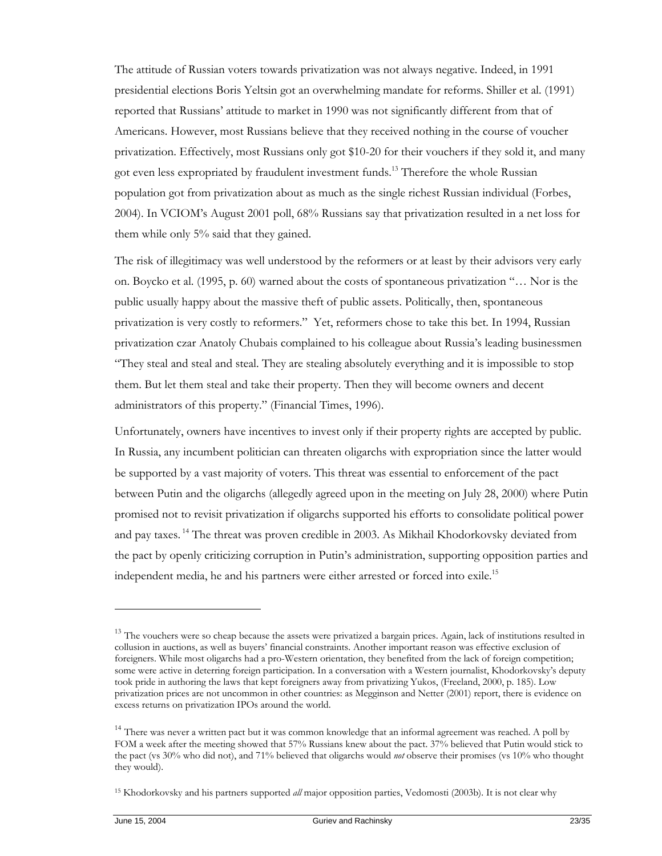The attitude of Russian voters towards privatization was not always negative. Indeed, in 1991 presidential elections Boris Yeltsin got an overwhelming mandate for reforms. Shiller et al. (1991) reported that Russians' attitude to market in 1990 was not significantly different from that of Americans. However, most Russians believe that they received nothing in the course of voucher privatization. Effectively, most Russians only got \$10-20 for their vouchers if they sold it, and many got even less expropriated by fraudulent investment funds.<sup>13</sup> Therefore the whole Russian population got from privatization about as much as the single richest Russian individual (Forbes, 2004). In VCIOM's August 2001 poll, 68% Russians say that privatization resulted in a net loss for them while only 5% said that they gained.

The risk of illegitimacy was well understood by the reformers or at least by their advisors very early on. Boycko et al. (1995, p. 60) warned about the costs of spontaneous privatization "… Nor is the public usually happy about the massive theft of public assets. Politically, then, spontaneous privatization is very costly to reformers." Yet, reformers chose to take this bet. In 1994, Russian privatization czar Anatoly Chubais complained to his colleague about Russia's leading businessmen "They steal and steal and steal. They are stealing absolutely everything and it is impossible to stop them. But let them steal and take their property. Then they will become owners and decent administrators of this property." (Financial Times, 1996).

Unfortunately, owners have incentives to invest only if their property rights are accepted by public. In Russia, any incumbent politician can threaten oligarchs with expropriation since the latter would be supported by a vast majority of voters. This threat was essential to enforcement of the pact between Putin and the oligarchs (allegedly agreed upon in the meeting on July 28, 2000) where Putin promised not to revisit privatization if oligarchs supported his efforts to consolidate political power and pay taxes.<sup>14</sup> The threat was proven credible in 2003. As Mikhail Khodorkovsky deviated from the pact by openly criticizing corruption in Putin's administration, supporting opposition parties and independent media, he and his partners were either arrested or forced into exile.<sup>15</sup>

 $\ddot{\phantom{a}}$ 

<sup>&</sup>lt;sup>13</sup> The vouchers were so cheap because the assets were privatized a bargain prices. Again, lack of institutions resulted in collusion in auctions, as well as buyers' financial constraints. Another important reason was effective exclusion of foreigners. While most oligarchs had a pro-Western orientation, they benefited from the lack of foreign competition; some were active in deterring foreign participation. In a conversation with a Western journalist, Khodorkovsky's deputy took pride in authoring the laws that kept foreigners away from privatizing Yukos, (Freeland, 2000, p. 185). Low privatization prices are not uncommon in other countries: as Megginson and Netter (2001) report, there is evidence on excess returns on privatization IPOs around the world.

<sup>&</sup>lt;sup>14</sup> There was never a written pact but it was common knowledge that an informal agreement was reached. A poll by FOM a week after the meeting showed that 57% Russians knew about the pact. 37% believed that Putin would stick to the pact (vs 30% who did not), and 71% believed that oligarchs would *not* observe their promises (vs 10% who thought they would).

<sup>15</sup> Khodorkovsky and his partners supported *all* major opposition parties, Vedomosti (2003b). It is not clear why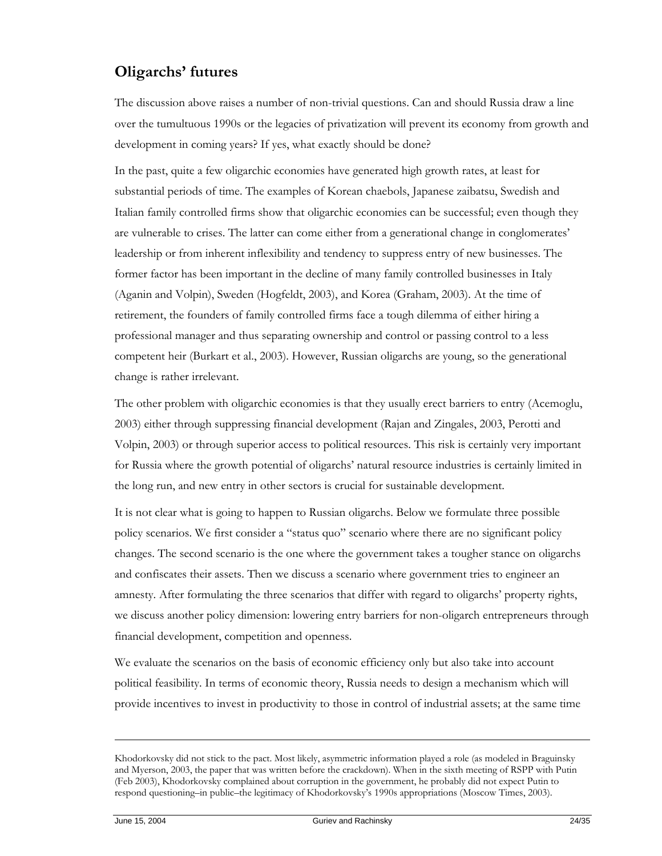# **Oligarchs' futures**

The discussion above raises a number of non-trivial questions. Can and should Russia draw a line over the tumultuous 1990s or the legacies of privatization will prevent its economy from growth and development in coming years? If yes, what exactly should be done?

In the past, quite a few oligarchic economies have generated high growth rates, at least for substantial periods of time. The examples of Korean chaebols, Japanese zaibatsu, Swedish and Italian family controlled firms show that oligarchic economies can be successful; even though they are vulnerable to crises. The latter can come either from a generational change in conglomerates' leadership or from inherent inflexibility and tendency to suppress entry of new businesses. The former factor has been important in the decline of many family controlled businesses in Italy (Aganin and Volpin), Sweden (Hogfeldt, 2003), and Korea (Graham, 2003). At the time of retirement, the founders of family controlled firms face a tough dilemma of either hiring a professional manager and thus separating ownership and control or passing control to a less competent heir (Burkart et al., 2003). However, Russian oligarchs are young, so the generational change is rather irrelevant.

The other problem with oligarchic economies is that they usually erect barriers to entry (Acemoglu, 2003) either through suppressing financial development (Rajan and Zingales, 2003, Perotti and Volpin, 2003) or through superior access to political resources. This risk is certainly very important for Russia where the growth potential of oligarchs' natural resource industries is certainly limited in the long run, and new entry in other sectors is crucial for sustainable development.

It is not clear what is going to happen to Russian oligarchs. Below we formulate three possible policy scenarios. We first consider a "status quo" scenario where there are no significant policy changes. The second scenario is the one where the government takes a tougher stance on oligarchs and confiscates their assets. Then we discuss a scenario where government tries to engineer an amnesty. After formulating the three scenarios that differ with regard to oligarchs' property rights, we discuss another policy dimension: lowering entry barriers for non-oligarch entrepreneurs through financial development, competition and openness.

We evaluate the scenarios on the basis of economic efficiency only but also take into account political feasibility. In terms of economic theory, Russia needs to design a mechanism which will provide incentives to invest in productivity to those in control of industrial assets; at the same time

-

Khodorkovsky did not stick to the pact. Most likely, asymmetric information played a role (as modeled in Braguinsky and Myerson, 2003, the paper that was written before the crackdown). When in the sixth meeting of RSPP with Putin (Feb 2003), Khodorkovsky complained about corruption in the government, he probably did not expect Putin to respond questioning–in public–the legitimacy of Khodorkovsky's 1990s appropriations (Moscow Times, 2003).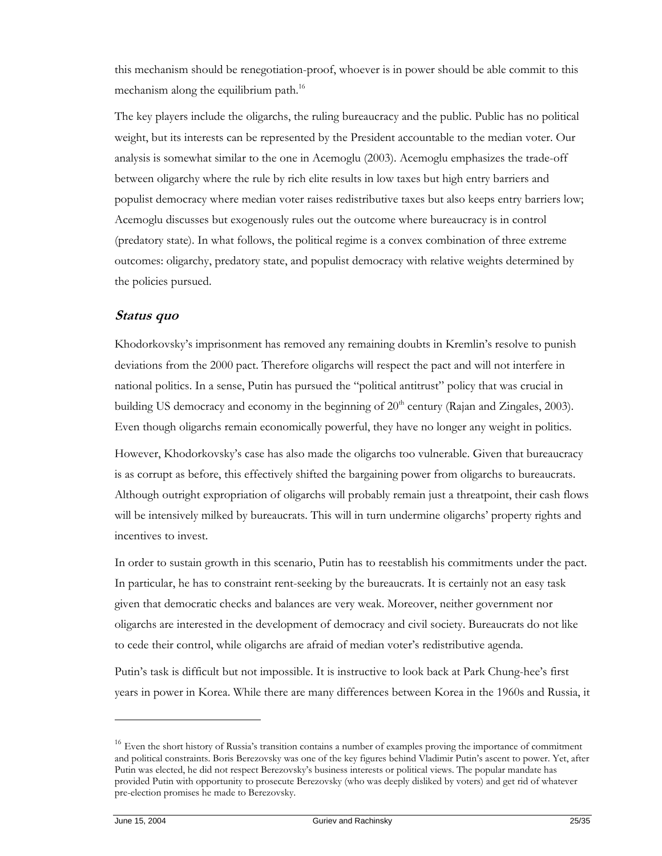this mechanism should be renegotiation-proof, whoever is in power should be able commit to this mechanism along the equilibrium path.<sup>16</sup>

The key players include the oligarchs, the ruling bureaucracy and the public. Public has no political weight, but its interests can be represented by the President accountable to the median voter. Our analysis is somewhat similar to the one in Acemoglu (2003). Acemoglu emphasizes the trade-off between oligarchy where the rule by rich elite results in low taxes but high entry barriers and populist democracy where median voter raises redistributive taxes but also keeps entry barriers low; Acemoglu discusses but exogenously rules out the outcome where bureaucracy is in control (predatory state). In what follows, the political regime is a convex combination of three extreme outcomes: oligarchy, predatory state, and populist democracy with relative weights determined by the policies pursued.

## **Status quo**

Khodorkovsky's imprisonment has removed any remaining doubts in Kremlin's resolve to punish deviations from the 2000 pact. Therefore oligarchs will respect the pact and will not interfere in national politics. In a sense, Putin has pursued the "political antitrust" policy that was crucial in building US democracy and economy in the beginning of 20<sup>th</sup> century (Rajan and Zingales, 2003). Even though oligarchs remain economically powerful, they have no longer any weight in politics.

However, Khodorkovsky's case has also made the oligarchs too vulnerable. Given that bureaucracy is as corrupt as before, this effectively shifted the bargaining power from oligarchs to bureaucrats. Although outright expropriation of oligarchs will probably remain just a threatpoint, their cash flows will be intensively milked by bureaucrats. This will in turn undermine oligarchs' property rights and incentives to invest.

In order to sustain growth in this scenario, Putin has to reestablish his commitments under the pact. In particular, he has to constraint rent-seeking by the bureaucrats. It is certainly not an easy task given that democratic checks and balances are very weak. Moreover, neither government nor oligarchs are interested in the development of democracy and civil society. Bureaucrats do not like to cede their control, while oligarchs are afraid of median voter's redistributive agenda.

Putin's task is difficult but not impossible. It is instructive to look back at Park Chung-hee's first years in power in Korea. While there are many differences between Korea in the 1960s and Russia, it

<sup>&</sup>lt;sup>16</sup> Even the short history of Russia's transition contains a number of examples proving the importance of commitment and political constraints. Boris Berezovsky was one of the key figures behind Vladimir Putin's ascent to power. Yet, after Putin was elected, he did not respect Berezovsky's business interests or political views. The popular mandate has provided Putin with opportunity to prosecute Berezovsky (who was deeply disliked by voters) and get rid of whatever pre-election promises he made to Berezovsky.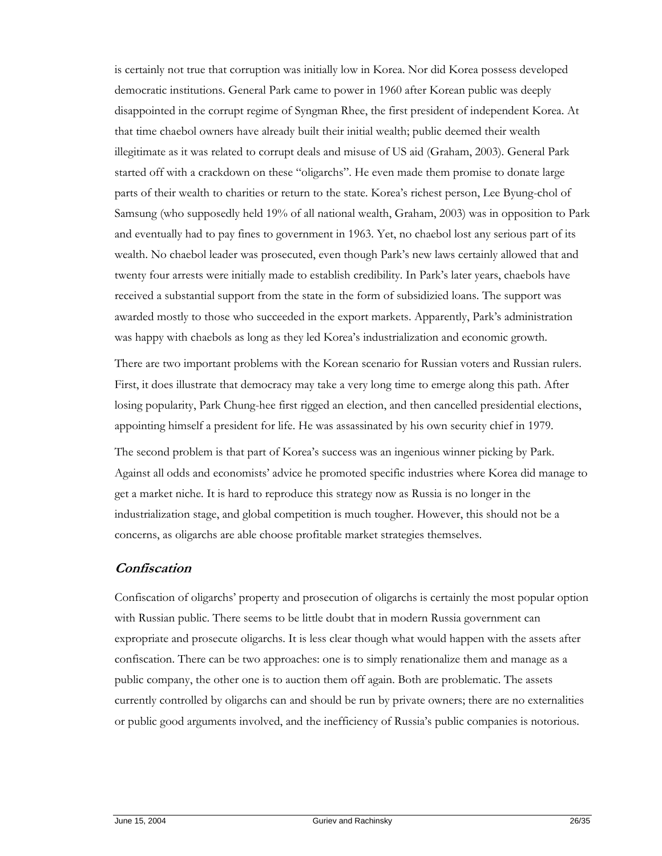is certainly not true that corruption was initially low in Korea. Nor did Korea possess developed democratic institutions. General Park came to power in 1960 after Korean public was deeply disappointed in the corrupt regime of Syngman Rhee, the first president of independent Korea. At that time chaebol owners have already built their initial wealth; public deemed their wealth illegitimate as it was related to corrupt deals and misuse of US aid (Graham, 2003). General Park started off with a crackdown on these "oligarchs". He even made them promise to donate large parts of their wealth to charities or return to the state. Korea's richest person, Lee Byung-chol of Samsung (who supposedly held 19% of all national wealth, Graham, 2003) was in opposition to Park and eventually had to pay fines to government in 1963. Yet, no chaebol lost any serious part of its wealth. No chaebol leader was prosecuted, even though Park's new laws certainly allowed that and twenty four arrests were initially made to establish credibility. In Park's later years, chaebols have received a substantial support from the state in the form of subsidizied loans. The support was awarded mostly to those who succeeded in the export markets. Apparently, Park's administration was happy with chaebols as long as they led Korea's industrialization and economic growth.

There are two important problems with the Korean scenario for Russian voters and Russian rulers. First, it does illustrate that democracy may take a very long time to emerge along this path. After losing popularity, Park Chung-hee first rigged an election, and then cancelled presidential elections, appointing himself a president for life. He was assassinated by his own security chief in 1979.

The second problem is that part of Korea's success was an ingenious winner picking by Park. Against all odds and economists' advice he promoted specific industries where Korea did manage to get a market niche. It is hard to reproduce this strategy now as Russia is no longer in the industrialization stage, and global competition is much tougher. However, this should not be a concerns, as oligarchs are able choose profitable market strategies themselves.

# **Confiscation**

Confiscation of oligarchs' property and prosecution of oligarchs is certainly the most popular option with Russian public. There seems to be little doubt that in modern Russia government can expropriate and prosecute oligarchs. It is less clear though what would happen with the assets after confiscation. There can be two approaches: one is to simply renationalize them and manage as a public company, the other one is to auction them off again. Both are problematic. The assets currently controlled by oligarchs can and should be run by private owners; there are no externalities or public good arguments involved, and the inefficiency of Russia's public companies is notorious.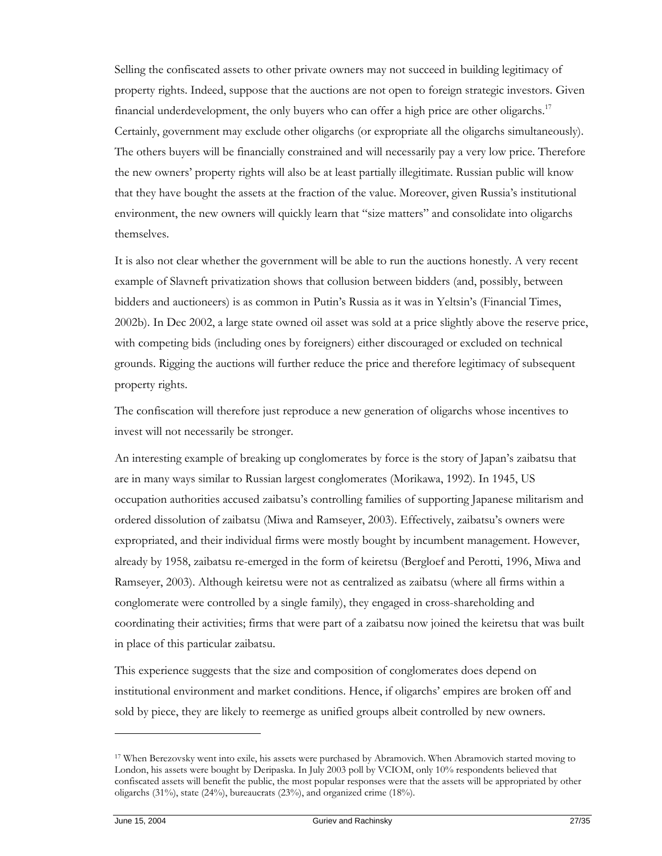Selling the confiscated assets to other private owners may not succeed in building legitimacy of property rights. Indeed, suppose that the auctions are not open to foreign strategic investors. Given financial underdevelopment, the only buyers who can offer a high price are other oligarchs.<sup>17</sup> Certainly, government may exclude other oligarchs (or expropriate all the oligarchs simultaneously). The others buyers will be financially constrained and will necessarily pay a very low price. Therefore the new owners' property rights will also be at least partially illegitimate. Russian public will know that they have bought the assets at the fraction of the value. Moreover, given Russia's institutional environment, the new owners will quickly learn that "size matters" and consolidate into oligarchs themselves.

It is also not clear whether the government will be able to run the auctions honestly. A very recent example of Slavneft privatization shows that collusion between bidders (and, possibly, between bidders and auctioneers) is as common in Putin's Russia as it was in Yeltsin's (Financial Times, 2002b). In Dec 2002, a large state owned oil asset was sold at a price slightly above the reserve price, with competing bids (including ones by foreigners) either discouraged or excluded on technical grounds. Rigging the auctions will further reduce the price and therefore legitimacy of subsequent property rights.

The confiscation will therefore just reproduce a new generation of oligarchs whose incentives to invest will not necessarily be stronger.

An interesting example of breaking up conglomerates by force is the story of Japan's zaibatsu that are in many ways similar to Russian largest conglomerates (Morikawa, 1992). In 1945, US occupation authorities accused zaibatsu's controlling families of supporting Japanese militarism and ordered dissolution of zaibatsu (Miwa and Ramseyer, 2003). Effectively, zaibatsu's owners were expropriated, and their individual firms were mostly bought by incumbent management. However, already by 1958, zaibatsu re-emerged in the form of keiretsu (Bergloef and Perotti, 1996, Miwa and Ramseyer, 2003). Although keiretsu were not as centralized as zaibatsu (where all firms within a conglomerate were controlled by a single family), they engaged in cross-shareholding and coordinating their activities; firms that were part of a zaibatsu now joined the keiretsu that was built in place of this particular zaibatsu.

This experience suggests that the size and composition of conglomerates does depend on institutional environment and market conditions. Hence, if oligarchs' empires are broken off and sold by piece, they are likely to reemerge as unified groups albeit controlled by new owners.

<sup>17</sup> When Berezovsky went into exile, his assets were purchased by Abramovich. When Abramovich started moving to London, his assets were bought by Deripaska. In July 2003 poll by VCIOM, only 10% respondents believed that confiscated assets will benefit the public, the most popular responses were that the assets will be appropriated by other oligarchs (31%), state (24%), bureaucrats (23%), and organized crime (18%).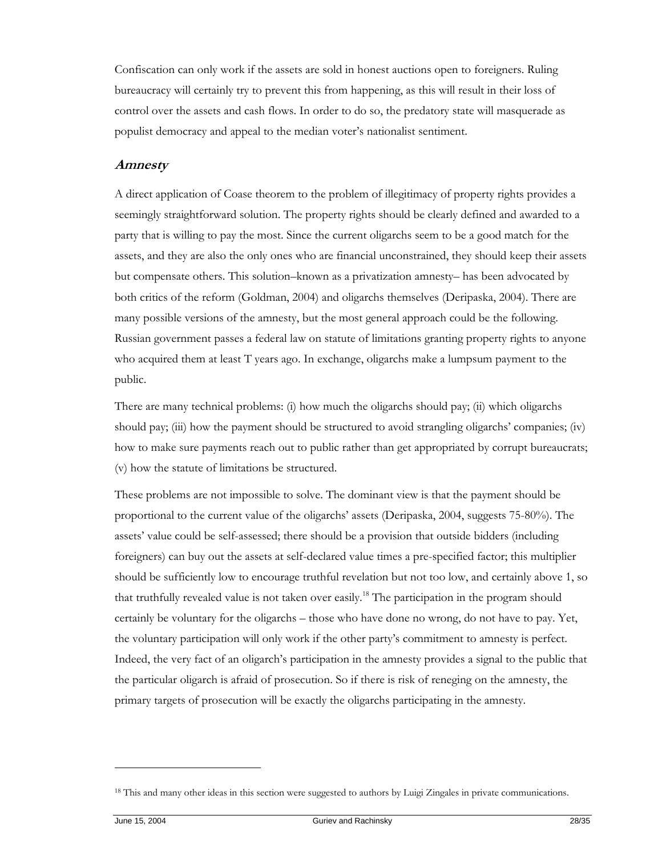Confiscation can only work if the assets are sold in honest auctions open to foreigners. Ruling bureaucracy will certainly try to prevent this from happening, as this will result in their loss of control over the assets and cash flows. In order to do so, the predatory state will masquerade as populist democracy and appeal to the median voter's nationalist sentiment.

#### **Amnesty**

A direct application of Coase theorem to the problem of illegitimacy of property rights provides a seemingly straightforward solution. The property rights should be clearly defined and awarded to a party that is willing to pay the most. Since the current oligarchs seem to be a good match for the assets, and they are also the only ones who are financial unconstrained, they should keep their assets but compensate others. This solution–known as a privatization amnesty– has been advocated by both critics of the reform (Goldman, 2004) and oligarchs themselves (Deripaska, 2004). There are many possible versions of the amnesty, but the most general approach could be the following. Russian government passes a federal law on statute of limitations granting property rights to anyone who acquired them at least T years ago. In exchange, oligarchs make a lumpsum payment to the public.

There are many technical problems: (i) how much the oligarchs should pay; (ii) which oligarchs should pay; (iii) how the payment should be structured to avoid strangling oligarchs' companies; (iv) how to make sure payments reach out to public rather than get appropriated by corrupt bureaucrats; (v) how the statute of limitations be structured.

These problems are not impossible to solve. The dominant view is that the payment should be proportional to the current value of the oligarchs' assets (Deripaska, 2004, suggests 75-80%). The assets' value could be self-assessed; there should be a provision that outside bidders (including foreigners) can buy out the assets at self-declared value times a pre-specified factor; this multiplier should be sufficiently low to encourage truthful revelation but not too low, and certainly above 1, so that truthfully revealed value is not taken over easily.18 The participation in the program should certainly be voluntary for the oligarchs – those who have done no wrong, do not have to pay. Yet, the voluntary participation will only work if the other party's commitment to amnesty is perfect. Indeed, the very fact of an oligarch's participation in the amnesty provides a signal to the public that the particular oligarch is afraid of prosecution. So if there is risk of reneging on the amnesty, the primary targets of prosecution will be exactly the oligarchs participating in the amnesty.

<sup>&</sup>lt;sup>18</sup> This and many other ideas in this section were suggested to authors by Luigi Zingales in private communications.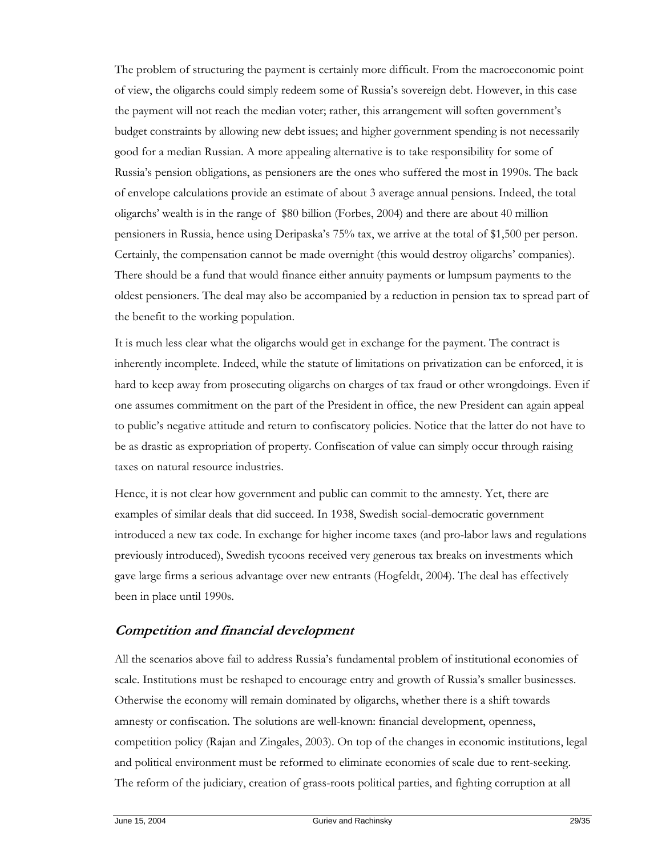The problem of structuring the payment is certainly more difficult. From the macroeconomic point of view, the oligarchs could simply redeem some of Russia's sovereign debt. However, in this case the payment will not reach the median voter; rather, this arrangement will soften government's budget constraints by allowing new debt issues; and higher government spending is not necessarily good for a median Russian. A more appealing alternative is to take responsibility for some of Russia's pension obligations, as pensioners are the ones who suffered the most in 1990s. The back of envelope calculations provide an estimate of about 3 average annual pensions. Indeed, the total oligarchs' wealth is in the range of \$80 billion (Forbes, 2004) and there are about 40 million pensioners in Russia, hence using Deripaska's 75% tax, we arrive at the total of \$1,500 per person. Certainly, the compensation cannot be made overnight (this would destroy oligarchs' companies). There should be a fund that would finance either annuity payments or lumpsum payments to the oldest pensioners. The deal may also be accompanied by a reduction in pension tax to spread part of the benefit to the working population.

It is much less clear what the oligarchs would get in exchange for the payment. The contract is inherently incomplete. Indeed, while the statute of limitations on privatization can be enforced, it is hard to keep away from prosecuting oligarchs on charges of tax fraud or other wrongdoings. Even if one assumes commitment on the part of the President in office, the new President can again appeal to public's negative attitude and return to confiscatory policies. Notice that the latter do not have to be as drastic as expropriation of property. Confiscation of value can simply occur through raising taxes on natural resource industries.

Hence, it is not clear how government and public can commit to the amnesty. Yet, there are examples of similar deals that did succeed. In 1938, Swedish social-democratic government introduced a new tax code. In exchange for higher income taxes (and pro-labor laws and regulations previously introduced), Swedish tycoons received very generous tax breaks on investments which gave large firms a serious advantage over new entrants (Hogfeldt, 2004). The deal has effectively been in place until 1990s.

# **Competition and financial development**

All the scenarios above fail to address Russia's fundamental problem of institutional economies of scale. Institutions must be reshaped to encourage entry and growth of Russia's smaller businesses. Otherwise the economy will remain dominated by oligarchs, whether there is a shift towards amnesty or confiscation. The solutions are well-known: financial development, openness, competition policy (Rajan and Zingales, 2003). On top of the changes in economic institutions, legal and political environment must be reformed to eliminate economies of scale due to rent-seeking. The reform of the judiciary, creation of grass-roots political parties, and fighting corruption at all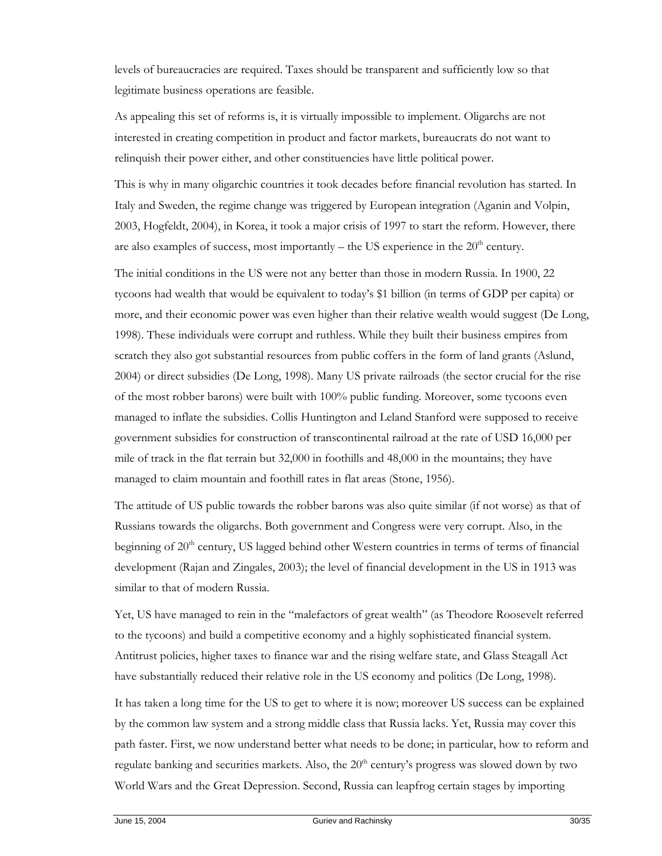levels of bureaucracies are required. Taxes should be transparent and sufficiently low so that legitimate business operations are feasible.

As appealing this set of reforms is, it is virtually impossible to implement. Oligarchs are not interested in creating competition in product and factor markets, bureaucrats do not want to relinquish their power either, and other constituencies have little political power.

This is why in many oligarchic countries it took decades before financial revolution has started. In Italy and Sweden, the regime change was triggered by European integration (Aganin and Volpin, 2003, Hogfeldt, 2004), in Korea, it took a major crisis of 1997 to start the reform. However, there are also examples of success, most importantly – the US experience in the  $20<sup>th</sup>$  century.

The initial conditions in the US were not any better than those in modern Russia. In 1900, 22 tycoons had wealth that would be equivalent to today's \$1 billion (in terms of GDP per capita) or more, and their economic power was even higher than their relative wealth would suggest (De Long, 1998). These individuals were corrupt and ruthless. While they built their business empires from scratch they also got substantial resources from public coffers in the form of land grants (Aslund, 2004) or direct subsidies (De Long, 1998). Many US private railroads (the sector crucial for the rise of the most robber barons) were built with 100% public funding. Moreover, some tycoons even managed to inflate the subsidies. Collis Huntington and Leland Stanford were supposed to receive government subsidies for construction of transcontinental railroad at the rate of USD 16,000 per mile of track in the flat terrain but 32,000 in foothills and 48,000 in the mountains; they have managed to claim mountain and foothill rates in flat areas (Stone, 1956).

The attitude of US public towards the robber barons was also quite similar (if not worse) as that of Russians towards the oligarchs. Both government and Congress were very corrupt. Also, in the beginning of  $20<sup>th</sup>$  century, US lagged behind other Western countries in terms of terms of financial development (Rajan and Zingales, 2003); the level of financial development in the US in 1913 was similar to that of modern Russia.

Yet, US have managed to rein in the "malefactors of great wealth" (as Theodore Roosevelt referred to the tycoons) and build a competitive economy and a highly sophisticated financial system. Antitrust policies, higher taxes to finance war and the rising welfare state, and Glass Steagall Act have substantially reduced their relative role in the US economy and politics (De Long, 1998).

It has taken a long time for the US to get to where it is now; moreover US success can be explained by the common law system and a strong middle class that Russia lacks. Yet, Russia may cover this path faster. First, we now understand better what needs to be done; in particular, how to reform and regulate banking and securities markets. Also, the 20<sup>th</sup> century's progress was slowed down by two World Wars and the Great Depression. Second, Russia can leapfrog certain stages by importing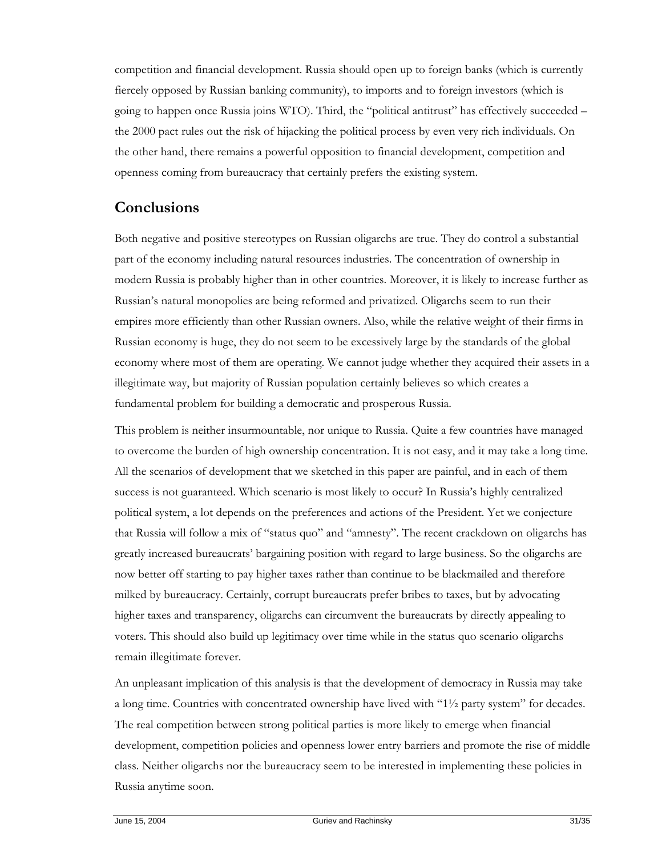competition and financial development. Russia should open up to foreign banks (which is currently fiercely opposed by Russian banking community), to imports and to foreign investors (which is going to happen once Russia joins WTO). Third, the "political antitrust" has effectively succeeded – the 2000 pact rules out the risk of hijacking the political process by even very rich individuals. On the other hand, there remains a powerful opposition to financial development, competition and openness coming from bureaucracy that certainly prefers the existing system.

# **Conclusions**

Both negative and positive stereotypes on Russian oligarchs are true. They do control a substantial part of the economy including natural resources industries. The concentration of ownership in modern Russia is probably higher than in other countries. Moreover, it is likely to increase further as Russian's natural monopolies are being reformed and privatized. Oligarchs seem to run their empires more efficiently than other Russian owners. Also, while the relative weight of their firms in Russian economy is huge, they do not seem to be excessively large by the standards of the global economy where most of them are operating. We cannot judge whether they acquired their assets in a illegitimate way, but majority of Russian population certainly believes so which creates a fundamental problem for building a democratic and prosperous Russia.

This problem is neither insurmountable, nor unique to Russia. Quite a few countries have managed to overcome the burden of high ownership concentration. It is not easy, and it may take a long time. All the scenarios of development that we sketched in this paper are painful, and in each of them success is not guaranteed. Which scenario is most likely to occur? In Russia's highly centralized political system, a lot depends on the preferences and actions of the President. Yet we conjecture that Russia will follow a mix of "status quo" and "amnesty". The recent crackdown on oligarchs has greatly increased bureaucrats' bargaining position with regard to large business. So the oligarchs are now better off starting to pay higher taxes rather than continue to be blackmailed and therefore milked by bureaucracy. Certainly, corrupt bureaucrats prefer bribes to taxes, but by advocating higher taxes and transparency, oligarchs can circumvent the bureaucrats by directly appealing to voters. This should also build up legitimacy over time while in the status quo scenario oligarchs remain illegitimate forever.

An unpleasant implication of this analysis is that the development of democracy in Russia may take a long time. Countries with concentrated ownership have lived with "1½ party system" for decades. The real competition between strong political parties is more likely to emerge when financial development, competition policies and openness lower entry barriers and promote the rise of middle class. Neither oligarchs nor the bureaucracy seem to be interested in implementing these policies in Russia anytime soon.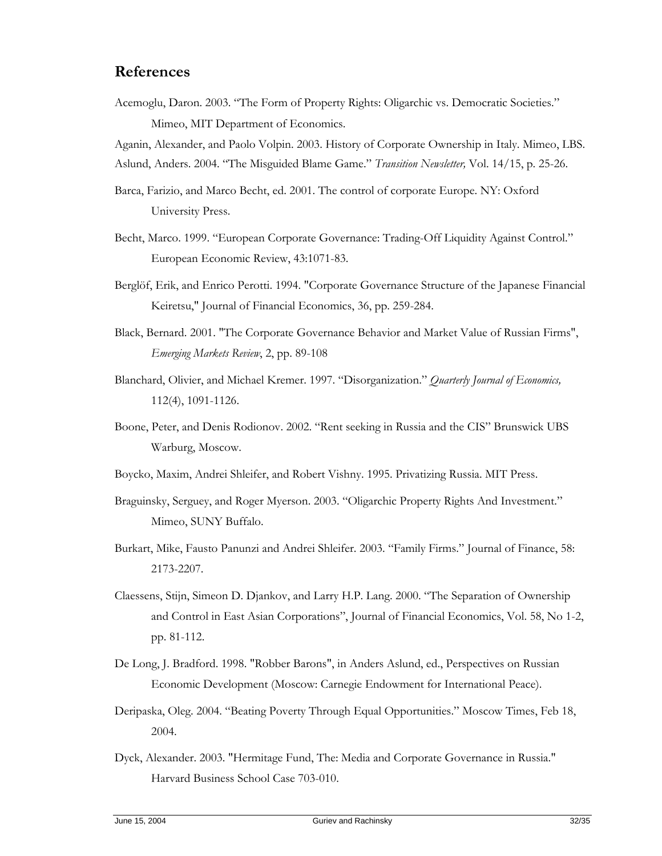# **References**

Acemoglu, Daron. 2003. "The Form of Property Rights: Oligarchic vs. Democratic Societies." Mimeo, MIT Department of Economics.

Aganin, Alexander, and Paolo Volpin. 2003. History of Corporate Ownership in Italy. Mimeo, LBS. Aslund, Anders. 2004. "The Misguided Blame Game." *Transition Newsletter,* Vol. 14/15, p. 25-26.

- Barca, Farizio, and Marco Becht, ed. 2001. The control of corporate Europe. NY: Oxford University Press.
- Becht, Marco. 1999. "European Corporate Governance: Trading-Off Liquidity Against Control." European Economic Review, 43:1071-83.
- Berglöf, Erik, and Enrico Perotti. 1994. "Corporate Governance Structure of the Japanese Financial Keiretsu," Journal of Financial Economics, 36, pp. 259-284.
- Black, Bernard. 2001. "The Corporate Governance Behavior and Market Value of Russian Firms", *Emerging Markets Review*, 2, pp. 89-108
- Blanchard, Olivier, and Michael Kremer. 1997. "Disorganization." *Quarterly Journal of Economics,*  112(4), 1091-1126.
- Boone, Peter, and Denis Rodionov. 2002. "Rent seeking in Russia and the CIS" Brunswick UBS Warburg, Moscow.
- Boycko, Maxim, Andrei Shleifer, and Robert Vishny. 1995. Privatizing Russia. MIT Press.
- Braguinsky, Serguey, and Roger Myerson. 2003. "Oligarchic Property Rights And Investment." Mimeo, SUNY Buffalo.
- Burkart, Mike, Fausto Panunzi and Andrei Shleifer. 2003. "Family Firms." Journal of Finance, 58: 2173-2207.
- Claessens, Stijn, Simeon D. Djankov, and Larry H.P. Lang. 2000. "The Separation of Ownership and Control in East Asian Corporations", Journal of Financial Economics, Vol. 58, No 1-2, pp. 81-112.
- De Long, J. Bradford. 1998. "Robber Barons", in Anders Aslund, ed., Perspectives on Russian Economic Development (Moscow: Carnegie Endowment for International Peace).
- Deripaska, Oleg. 2004. "Beating Poverty Through Equal Opportunities." Moscow Times, Feb 18, 2004.
- Dyck, Alexander. 2003. "Hermitage Fund, The: Media and Corporate Governance in Russia." Harvard Business School Case 703-010.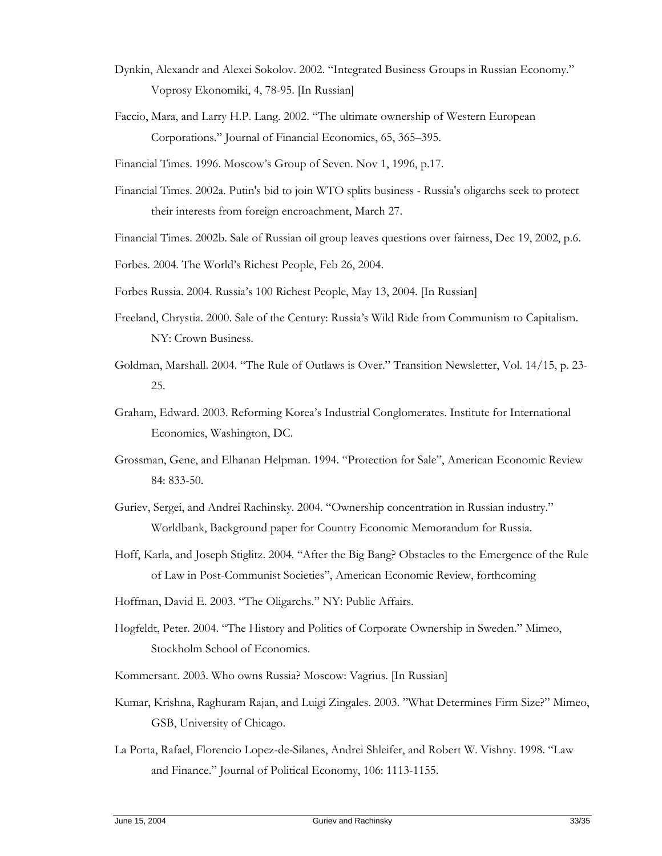- Dynkin, Alexandr and Alexei Sokolov. 2002. "Integrated Business Groups in Russian Economy." Voprosy Ekonomiki, 4, 78-95. [In Russian]
- Faccio, Mara, and Larry H.P. Lang. 2002. "The ultimate ownership of Western European Corporations." Journal of Financial Economics, 65, 365–395.
- Financial Times. 1996. Moscow's Group of Seven. Nov 1, 1996, p.17.
- Financial Times. 2002a. Putin's bid to join WTO splits business Russia's oligarchs seek to protect their interests from foreign encroachment, March 27.
- Financial Times. 2002b. Sale of Russian oil group leaves questions over fairness, Dec 19, 2002, p.6.
- Forbes. 2004. The World's Richest People, Feb 26, 2004.
- Forbes Russia. 2004. Russia's 100 Richest People, May 13, 2004. [In Russian]
- Freeland, Chrystia. 2000. Sale of the Century: Russia's Wild Ride from Communism to Capitalism. NY: Crown Business.
- Goldman, Marshall. 2004. "The Rule of Outlaws is Over." Transition Newsletter, Vol. 14/15, p. 23- 25.
- Graham, Edward. 2003. Reforming Korea's Industrial Conglomerates. Institute for International Economics, Washington, DC.
- Grossman, Gene, and Elhanan Helpman. 1994. "Protection for Sale", American Economic Review 84: 833-50.
- Guriev, Sergei, and Andrei Rachinsky. 2004. "Ownership concentration in Russian industry." Worldbank, Background paper for Country Economic Memorandum for Russia.
- Hoff, Karla, and Joseph Stiglitz. 2004. "After the Big Bang? Obstacles to the Emergence of the Rule of Law in Post-Communist Societies", American Economic Review, forthcoming
- Hoffman, David E. 2003. "The Oligarchs." NY: Public Affairs.
- Hogfeldt, Peter. 2004. "The History and Politics of Corporate Ownership in Sweden." Mimeo, Stockholm School of Economics.
- Kommersant. 2003. Who owns Russia? Moscow: Vagrius. [In Russian]
- Kumar, Krishna, Raghuram Rajan, and Luigi Zingales. 2003. "What Determines Firm Size?" Mimeo, GSB, University of Chicago.
- La Porta, Rafael, Florencio Lopez-de-Silanes, Andrei Shleifer, and Robert W. Vishny. 1998. "Law and Finance." Journal of Political Economy, 106: 1113-1155.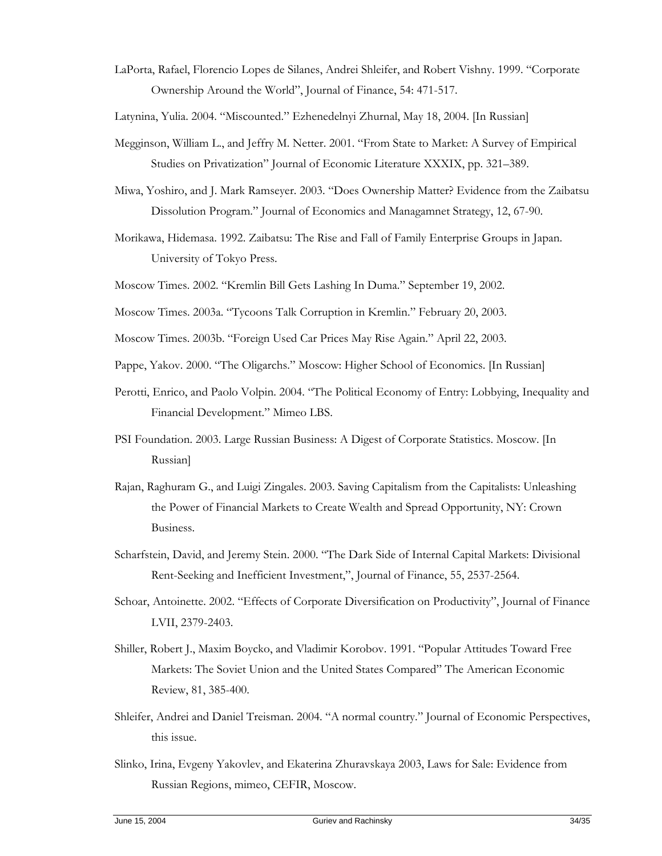LaPorta, Rafael, Florencio Lopes de Silanes, Andrei Shleifer, and Robert Vishny. 1999. "Corporate Ownership Around the World", Journal of Finance, 54: 471-517.

Latynina, Yulia. 2004. "Miscounted." Ezhenedelnyi Zhurnal, May 18, 2004. [In Russian]

- Megginson, William L., and Jeffry M. Netter. 2001. "From State to Market: A Survey of Empirical Studies on Privatization" Journal of Economic Literature XXXIX, pp. 321–389.
- Miwa, Yoshiro, and J. Mark Ramseyer. 2003. "Does Ownership Matter? Evidence from the Zaibatsu Dissolution Program." Journal of Economics and Managamnet Strategy, 12, 67-90.
- Morikawa, Hidemasa. 1992. Zaibatsu: The Rise and Fall of Family Enterprise Groups in Japan. University of Tokyo Press.
- Moscow Times. 2002. "Kremlin Bill Gets Lashing In Duma." September 19, 2002.
- Moscow Times. 2003a. "Tycoons Talk Corruption in Kremlin." February 20, 2003.
- Moscow Times. 2003b. "Foreign Used Car Prices May Rise Again." April 22, 2003.
- Pappe, Yakov. 2000. "The Oligarchs." Moscow: Higher School of Economics. [In Russian]
- Perotti, Enrico, and Paolo Volpin. 2004. "The Political Economy of Entry: Lobbying, Inequality and Financial Development." Mimeo LBS.
- PSI Foundation. 2003. Large Russian Business: A Digest of Corporate Statistics. Moscow. [In Russian]
- Rajan, Raghuram G., and Luigi Zingales. 2003. Saving Capitalism from the Capitalists: Unleashing the Power of Financial Markets to Create Wealth and Spread Opportunity, NY: Crown Business.
- Scharfstein, David, and Jeremy Stein. 2000. "The Dark Side of Internal Capital Markets: Divisional Rent-Seeking and Inefficient Investment,", Journal of Finance, 55, 2537-2564.
- Schoar, Antoinette. 2002. "Effects of Corporate Diversification on Productivity", Journal of Finance LVII, 2379-2403.
- Shiller, Robert J., Maxim Boycko, and Vladimir Korobov. 1991. "Popular Attitudes Toward Free Markets: The Soviet Union and the United States Compared" The American Economic Review, 81, 385-400.
- Shleifer, Andrei and Daniel Treisman. 2004. "A normal country." Journal of Economic Perspectives, this issue.
- Slinko, Irina, Evgeny Yakovlev, and Ekaterina Zhuravskaya 2003, Laws for Sale: Evidence from Russian Regions, mimeo, CEFIR, Moscow.